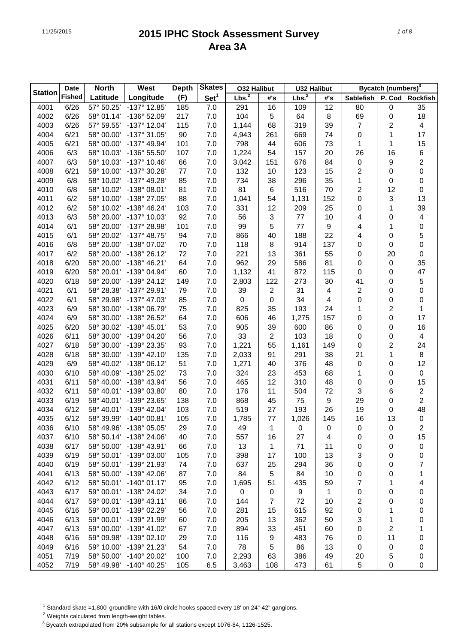|                | Date          | <b>North</b> | West                  | <b>Depth</b> | <b>Skates</b>    | <b>O32 Halibut</b> |     | <b>U32 Halibut</b> |     |                | Bycatch (numbers) <sup>3</sup> |                         |
|----------------|---------------|--------------|-----------------------|--------------|------------------|--------------------|-----|--------------------|-----|----------------|--------------------------------|-------------------------|
| <b>Station</b> | <b>Fished</b> | Latitude     | Longitude             | (F)          | Set <sup>1</sup> | Lbs. <sup>2</sup>  | #'s | Lbs. <sup>2</sup>  | #'s | Sablefish      | P. Cod                         | <b>Rockfish</b>         |
| 4001           | 6/26          | 57° 50.25'   | $-137^{\circ}$ 12.85' | 185          | 7.0              | 291                | 16  | 109                | 12  | 80             | 0                              | 35                      |
| 4002           | 6/26          | 58° 01.14'   | -136° 52.09'          | 217          | 7.0              | 104                | 5   | 64                 | 8   | 69             | 0                              | 18                      |
| 4003           | 6/26          | 57° 59.55'   | $-137^{\circ}$ 12.04' | 115          | 7.0              | 1,144              | 68  | 319                | 39  | $\overline{7}$ | 2                              | $\overline{\mathbf{4}}$ |
| 4004           | 6/21          | 58° 00.00'   | -137° 31.05'          | 90           | 7.0              | 4,943              | 261 | 669                | 74  | 0              | 1                              | 17                      |
| 4005           | 6/21          | 58° 00.00'   | -137° 49.94'          | 101          | 7.0              | 798                | 44  | 606                | 73  | 1              | 1                              | 15                      |
| 4006           | 6/3           | 58° 10.03'   | -136° 55.50'          | 107          | 7.0              | 1,224              | 54  | 157                | 20  | 26             | 16                             | $\,6$                   |
| 4007           | 6/3           | 58° 10.03'   | $-137^{\circ}$ 10.46' | 66           | 7.0              | 3,042              | 151 | 676                | 84  | 0              | 9                              | $\overline{\mathbf{c}}$ |
| 4008           | 6/21          | 58° 10.00'   | -137° 30.28'          | 77           | 7.0              | 132                | 10  | 123                | 15  | 2              | $\mathbf 0$                    | $\mathsf{O}\xspace$     |
| 4009           | 6/8           | 58° 10.02'   | -137° 49.28'          | 85           | 7.0              | 734                | 38  | 296                | 35  | 1              | 0                              | 0                       |
| 4010           | 6/8           | 58° 10.02'   | -138° 08.01'          | 81           | 7.0              | 81                 | 6   | 516                | 70  | 2              | 12                             | 0                       |
| 4011           | 6/2           | 58° 10.00'   | -138° 27.05'          | 88           | 7.0              | 1,041              | 54  | 1,131              | 152 | 0              | 3                              | 13                      |
| 4012           | 6/2           | 58° 10.02'   | -138° 46.24'          | 103          | 7.0              | 331                | 12  | 209                | 25  | 0              | 1                              | 39                      |
| 4013           | 6/3           | 58° 20.00'   | -137° 10.03'          | 92           | 7.0              | 56                 | 3   | 77                 | 10  | 4              | 0                              | 4                       |
| 4014           | 6/1           | 58° 20.00'   | -137° 28.98'          | 101          | 7.0              | 99                 | 5   | 77                 | 9   | 4              | 1                              | $\pmb{0}$               |
| 4015           | 6/1           | 58° 20.02'   | $-137^{\circ}$ 48.75' | 94           | 7.0              | 866                | 40  | 188                | 22  | 4              | 0                              | 5                       |
| 4016           | 6/8           | 58° 20.00'   | -138° 07.02'          | 70           | 7.0              | 118                | 8   | 914                | 137 | 0              | 0                              | $\mathsf{O}\xspace$     |
| 4017           | 6/2           | 58° 20.00'   | -138° 26.12'          | 72           | 7.0              | 221                | 13  | 361                | 55  | 0              | 20                             | 0                       |
| 4018           | 6/20          | 58° 20.00'   | -138° 46.21'          | 64           | 7.0              | 962                | 29  | 586                | 81  | 0              | 0                              | 35                      |
| 4019           | 6/20          | 58° 20.01'   | -139° 04.94'          | 60           | 7.0              | 1,132              | 41  | 872                | 115 | 0              | 0                              | 47                      |
| 4020           | 6/18          | 58° 20.00'   | -139° 24.12'          | 149          | 7.0              | 2,803              | 122 | 273                | 30  | 41             | 0                              | 5                       |
| 4021           | 6/1           | 58° 28.38'   | -137° 29.91'          | 79           | 7.0              | 39                 | 2   | 31                 | 4   | $\overline{c}$ | 0                              | 0                       |
| 4022           | 6/1           | 58° 29.98'   | -137° 47.03'          | 85           | 7.0              | $\boldsymbol{0}$   | 0   | 34                 | 4   | 0              | 0                              | $\pmb{0}$               |
| 4023           | 6/9           | 58° 30.00'   | -138° 06.79'          | 75           | 7.0              | 825                | 35  | 193                | 24  | 1              | 2                              | 1                       |
| 4024           | 6/9           | 58° 30.00'   | -138° 26.52'          | 64           | 7.0              | 606                | 46  | 1,275              | 157 | 0              | 0                              | 17                      |
| 4025           | 6/20          | 58° 30.02'   | -138° 45.01'          | 53           | 7.0              | 905                | 39  | 600                | 86  | 0              | 0                              | 16                      |
| 4026           | 6/11          | 58° 30.00'   | -139° 04.20'          | 56           | 7.0              | 33                 | 2   | 103                | 18  | 0              | 0                              | 4                       |
| 4027           | 6/18          | 58° 30.00'   | -139° 23.35'          | 93           | 7.0              | 1,221              | 55  | 1,161              | 149 | 0              | 2                              | 24                      |
| 4028           | 6/18          | 58° 30.00'   | $-139^{\circ}$ 42.10  | 135          | 7.0              | 2,033              | 91  | 291                | 38  | 21             | 1                              | 8                       |
| 4029           | 6/9           | 58° 40.02'   | -138° 06.12'          | 51           | 7.0              | 1,271              | 40  | 376                | 48  | 0              | 0                              | 12                      |
| 4030           | 6/10          | 58° 40.09'   | -138° 25.02'          | 73           | 7.0              | 324                | 23  | 453                | 68  | 1              | 0                              | $\pmb{0}$               |
| 4031           | 6/11          | 58° 40.00'   | -138° 43.94'          | 56           | 7.0              | 465                | 12  | 310                | 48  | 0              | 0                              | 15                      |
| 4032           | 6/11          | 58° 40.01'   | -139° 03.80'          | 80           | 7.0              | 176                | 11  | 504                | 72  | 3              | 6                              | $\overline{c}$          |
| 4033           | 6/19          | 58° 40.01'   | -139° 23.65'          | 138          | 7.0              | 868                | 45  | 75                 | 9   | 29             | 0                              | $\overline{c}$          |
| 4034           | 6/12          | 58° 40.01'   | -139° 42.04'          | 103          | 7.0              | 519                | 27  | 193                | 26  | 19             | 0                              | 48                      |
| 4035           | 6/12          | 58° 39.99'   | $-140^{\circ}$ 00.81' | 105          | 7.0              | 1,785              | 77  | 1,026              | 145 | 16             | 13                             | $\pmb{0}$               |
| 4036           | 6/10          | 58° 49.96'   | $-138^{\circ}$ 05.05' | 29           | 7.0              | 49                 | 1   | 0                  | 0   | 0              | 0                              | 2                       |
| 4037           | 6/10          | 58° 50.14'   | -138° 24.06'          | 40           | 7.0              | 557                | 16  | 27                 | 4   | 0              | 0                              | 15                      |
| 4038           | 6/17          | 58° 50.00'   | -138° 43.91'          | 66           | 7.0              | 13                 | 1   | 71                 | 11  | 0              | 0                              | 0                       |
| 4039           | 6/19          | 58° 50.01'   | -139° 03.00'          | 105          | 7.0              | 398                | 17  | 100                | 13  | 3              | 0                              | 0                       |
| 4040           | 6/19          | 58° 50.01'   | -139° 21.93'          | 74           | 7.0              | 637                | 25  | 294                | 36  | 0              | 0                              | 7                       |
| 4041           | 6/13          | 58° 50.00'   | -139° 42.06'          | 87           | 7.0              | 84                 | 5   | 84                 | 10  | 0              | 0                              | 1                       |
| 4042           | 6/12          | 58° 50.01'   | $-140^{\circ}$ 01.17' | 95           | 7.0              | 1,695              | 51  | 435                | 59  | 7              | 1                              | 4                       |
| 4043           | 6/17          | 59° 00.01'   | -138° 24.02'          | 34           | 7.0              | $\pmb{0}$          | 0   | 9                  | 1   | 0              | 0                              | 0                       |
| 4044           | 6/17          | 59° 00.01'   | $-138^{\circ}$ 43.11' | 86           | 7.0              | 144                | 7   | 72                 | 10  | 2              | 0                              | 0                       |
| 4045           | 6/16          | 59° 00.01'   | -139° 02.29'          | 56           | 7.0              | 281                | 15  | 615                | 92  | 0              | 1                              | 0                       |
| 4046           | 6/13          | 59° 00.01'   | -139° 21.99'          | 60           | 7.0              | 205                | 13  | 362                | 50  | 3              | 1                              | 0                       |
| 4047           | 6/13          | 59° 00.00'   | -139° 41.02'          | 67           | 7.0              | 894                | 33  | 451                | 60  | 0              | 2                              | 1                       |
| 4048           | 6/16          | 59° 09.98'   | -139° 02.10'          | 29           | 7.0              | 116                | 9   | 483                | 76  | 0              | 11                             | 0                       |
| 4049           | 6/16          | 59° 10.00'   | -139° 21.23'          | 54           | 7.0              | 78                 | 5   | 86                 | 13  | 0              | 0                              | 0                       |
| 4051           | 7/19          | 58° 50.00'   | -140° 20.02'          | 100          | 7.0              | 2,293              | 63  | 386                | 49  | 20             | 5                              | 0                       |
| 4052           | 7/19          | 58° 49.98'   | $-140^{\circ}$ 40.25' | 105          | 6.5              | 3,463              | 108 | 473                | 61  | 5              | 0                              | 0                       |
|                |               |              |                       |              |                  |                    |     |                    |     |                |                                |                         |

<sup>1</sup> Standard skate =1,800' groundline with 16/0 circle hooks spaced every 18' on 24"-42" gangions.

2 Weights calculated from length-weight tables.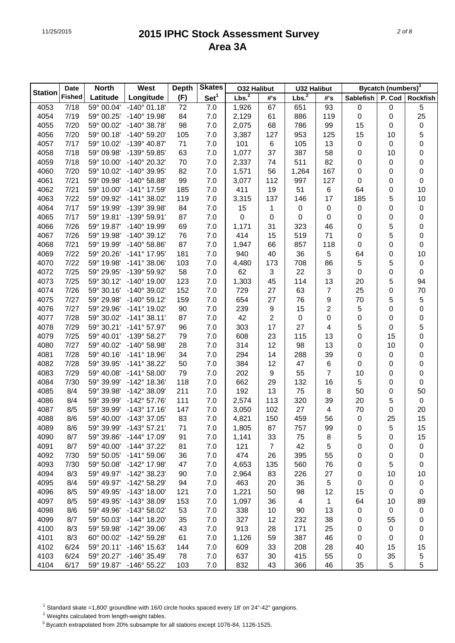|                | Date          | <b>North</b> | West                  | <b>Depth</b> | <b>Skates</b>    | <b>O32 Halibut</b> |                | <b>U32 Halibut</b> |     |                  | Bycatch (numbers) <sup>3</sup> |                  |
|----------------|---------------|--------------|-----------------------|--------------|------------------|--------------------|----------------|--------------------|-----|------------------|--------------------------------|------------------|
| <b>Station</b> | <b>Fished</b> | Latitude     | Longitude             | (F)          | Set <sup>1</sup> | Lbs. <sup>2</sup>  | #'s            | Lbs. <sup>2</sup>  | #'s | Sablefish        | P. Cod                         | <b>Rockfish</b>  |
| 4053           | 7/18          | 59° 00.04'   | $-140^{\circ}$ 01.18' | 72           | 7.0              | 1,926              | 67             | 651                | 93  | $\boldsymbol{0}$ | 0                              | 5                |
| 4054           | 7/19          | 59° 00.25'   | -140° 19.98'          | 84           | 7.0              | 2,129              | 61             | 886                | 119 | $\pmb{0}$        | 0                              | 25               |
| 4055           | 7/20          | 59° 00.02'   | $-140^{\circ}$ 38.78' | 98           | 7.0              | 2,075              | 68             | 786                | 99  | 15               | 0                              | $\pmb{0}$        |
| 4056           | 7/20          | 59° 00.18'   | -140° 59.20'          | 105          | 7.0              | 3,387              | 127            | 953                | 125 | 15               | 10                             | 5                |
| 4057           | 7/17          | 59° 10.02'   | -139° 40.87'          | 71           | 7.0              | 101                | 6              | 105                | 13  | 0                | 0                              | $\pmb{0}$        |
| 4058           | 7/18          | 59° 09.98'   | -139° 59.85'          | 63           | 7.0              | 1,077              | 37             | 387                | 58  | 0                | 10                             | $\pmb{0}$        |
| 4059           | 7/18          | 59° 10.00'   | -140° 20.32'          | 70           | 7.0              | 2,337              | 74             | 511                | 82  | 0                | 0                              | $\pmb{0}$        |
| 4060           | 7/20          | 59° 10.02'   | -140° 39.95'          | 82           | 7.0              | 1,571              | 56             | 1,264              | 167 | 0                | 0                              | $\pmb{0}$        |
| 4061           | 7/21          | 59° 09.98'   | $-140^{\circ}$ 58.88' | 99           | 7.0              | 3,077              | 112            | 997                | 127 | 0                | 0                              | 0                |
| 4062           | 7/21          | 59° 10.00'   | -141° 17.59'          | 185          | 7.0              | 411                | 19             | 51                 | 6   | 64               | 0                              | 10               |
| 4063           | 7/22          | 59° 09.92'   | -141° 38.02'          | 119          | 7.0              | 3,315              | 137            | 146                | 17  | 185              | 5                              | 10               |
| 4064           | 7/17          | 59° 19.99'   | -139° 39.98'          | 84           | 7.0              | 15                 | 1              | $\pmb{0}$          | 0   | 0                | 0                              | $\pmb{0}$        |
| 4065           | 7/17          | 59° 19.81'   | -139° 59.91'          | 87           | 7.0              | $\mathbf 0$        | 0              | $\mathbf 0$        | 0   | 0                | 0                              | $\pmb{0}$        |
| 4066           | 7/26          | 59° 19.87'   | -140° 19.99'          | 69           | 7.0              | 1,171              | 31             | 323                | 46  | 0                | 5                              | $\pmb{0}$        |
| 4067           | 7/26          | 59° 19.98'   | $-140^{\circ}$ 39.12' | 76           | 7.0              | 414                | 15             | 519                | 71  | 0                | 5                              | $\pmb{0}$        |
| 4068           | 7/21          | 59° 19.99'   | $-140^{\circ}$ 58.86' | 87           | 7.0              | 1,947              | 66             | 857                | 118 | 0                | 0                              | 0                |
| 4069           | 7/22          | 59° 20.26'   | -141° 17.95'          | 181          | 7.0              | 940                | 40             | 36                 | 5   | 64               | 0                              | 10               |
| 4070           | 7/22          | 59° 19.98'   | $-141^{\circ}$ 38.06' | 103          | 7.0              | 4,480              | 173            | 708                | 86  | 5                | 5                              | $\pmb{0}$        |
| 4072           | 7/25          | 59° 29.95'   | -139° 59.92'          | 58           | 7.0              | 62                 | 3              | 22                 | 3   | 0                | 0                              | 0                |
| 4073           | 7/25          | 59° 30.12'   | $-140^{\circ}$ 19.00' | 123          | 7.0              | 1,303              | 45             | 114                | 13  | 20               | 5                              | 94               |
| 4074           | 7/26          | 59° 30.16'   | -140° 39.02'          | 152          | 7.0              | 729                | 27             | 63                 | 7   | 25               | 0                              | 70               |
| 4075           | 7/27          | 59° 29.98'   | $-140^{\circ} 59.12'$ | 159          | 7.0              | 654                | 27             | 76                 | 9   | 70               | 5                              | 5                |
| 4076           | 7/27          | 59° 29.96'   | -141° 19.02'          | 90           | 7.0              | 239                | 9              | 15                 | 2   | 5                | 0                              | $\pmb{0}$        |
| 4077           | 7/28          | 59° 30.02'   | $-141°38.11'$         | 87           | 7.0              | 42                 | $\overline{c}$ | $\pmb{0}$          | 0   | 0                | 0                              | $\pmb{0}$        |
| 4078           | 7/29          | 59° 30.21'   | $-141^{\circ}57.97'$  | 96           | 7.0              | 303                | 17             | 27                 | 4   | 5                | 0                              | 5                |
| 4079           | 7/25          | 59° 40.01'   | -139° 58.27'          | 79           | 7.0              | 608                | 23             | 115                | 13  | 0                | 15                             | $\pmb{0}$        |
| 4080           | 7/27          | 59° 40.02'   | $-140^{\circ}$ 58.98' | 28           | 7.0              | 314                | 12             | 98                 | 13  | 0                | 10                             | $\pmb{0}$        |
| 4081           | 7/28          | 59° 40.16'   | $-141^{\circ}$ 18.96' | 34           | 7.0              | 294                | 14             | 288                | 39  | 0                | 0                              | $\pmb{0}$        |
| 4082           | 7/28          | 59° 39.95'   | $-141^{\circ}$ 38.22' | 50           | 7.0              | 384                | 12             | 47                 | 6   | 0                | 0                              | $\pmb{0}$        |
| 4083           | 7/29          | 59° 40.08'   | $-141^{\circ} 58.00'$ | 79           | 7.0              | 202                | 9              | 55                 | 7   | 10               | 0                              | $\pmb{0}$        |
| 4084           | 7/30          | 59° 39.99'   | -142° 18.36'          | 118          | 7.0              | 662                | 29             | 132                | 16  | 5                | 0                              | 0                |
| 4085           | 8/4           | 59° 39.98'   | -142° 38.09'          | 211          | 7.0              | 192                | 13             | 75                 | 8   | 50               | 0                              | 50               |
| 4086           | 8/4           | 59° 39.99'   | $-142^{\circ}$ 57.76' | 111          | 7.0              | 2,574              | 113            | 320                | 39  | 20               | 5                              | $\boldsymbol{0}$ |
| 4087           | 8/5           | 59° 39.99'   | $-143^{\circ}$ 17.16  | 147          | 7.0              | 3,050              | 102            | 27                 | 4   | 70               | 0                              | 20               |
| 4088           | 8/6           | 59° 40.00'   | -143° 37.05'          | 83           | 7.0              | 4,821              | 150            | 459                | 56  | $\mathbf 0$      | 25                             | 15               |
| 4089           | 8/6           | 59° 39.99'   | $-143^{\circ}$ 57.21  | 71           | 7.0              | 1,805              | 87             | 757                | 99  | 0                | 5                              | 15               |
| 4090           | 8/7           | 59° 39.86'   | -144° 17.09'          | 91           | 7.0              | 1,141              | 33             | 75                 | 8   | 5                | 0                              | 15               |
| 4091           | 8/7           | 59° 40.00'   | -144° 37.22'          | 81           | 7.0              | 121                | $\overline{7}$ | 42                 | 5   | 0                | 0                              | 0                |
| 4092           | 7/30          | 59° 50.05'   | $-141^{\circ} 59.06'$ | 36           | 7.0              | 474                | 26             | 395                | 55  | 0                | 0                              | 0                |
| 4093           | 7/30          | 59° 50.08'   | -142° 17.98'          | 47           | 7.0              | 4,653              | 135            | 560                | 76  | 0                | 5                              | 0                |
| 4094           | 8/3           | 59° 49.97'   | -142° 38.23'          | 90           | 7.0              | 2,964              | 83             | 226                | 27  | 0                | 10                             | 10               |
| 4095           | 8/4           | 59° 49.97'   | -142° 58.29'          | 94           | 7.0              | 463                | 20             | 36                 | 5   | 0                | 0                              | 0                |
| 4096           | 8/5           | 59° 49.95'   | $-143^{\circ}$ 18.00' | 121          | 7.0              | 1,221              | 50             | 98                 | 12  | 15               | 0                              | 0                |
| 4097           | 8/5           | 59° 49.95'   | -143° 38.09'          | 153          | 7.0              | 1,097              | 36             | $\overline{4}$     | 1   | 64               | 10                             | 89               |
| 4098           | 8/6           | 59° 49.96'   | -143° 58.02'          | 53           | 7.0              | 338                | 10             | 90                 | 13  | 0                | 0                              | 0                |
| 4099           | 8/7           | 59° 50.03'   | -144° 18.20'          | 35           | 7.0              | 327                | 12             | 232                | 38  | 0                | 55                             | 0                |
| 4100           | 8/3           | 59° 59.98'   | -142° 39.06'          | 43           | 7.0              | 913                | 28             | 171                | 25  | 0                | 0                              | 0                |
| 4101           | 8/3           | 60° 00.02'   | -142° 59.28'          | 61           | 7.0              | 1,126              | 59             | 387                | 46  | 0                | 0                              | 0                |
| 4102           | 6/24          | 59° 20.11'   | $-146^{\circ}$ 15.63' | 144          | 7.0              | 609                | 33             | 208                | 28  | 40               | 15                             | 15               |
| 4103           | 6/24          | 59° 20.27'   | -146° 35.49'          | 78           | 7.0              | 637                | 30             | 415                | 55  | $\pmb{0}$        | 35                             | 5                |
| 4104           | 6/17          | 59° 19.87'   | $-146^{\circ}$ 55.22' | 103          | 7.0              | 832                | 43             | 366                | 46  | 35               | 5                              | 5                |

<sup>1</sup> Standard skate =1,800' groundline with 16/0 circle hooks spaced every 18' on 24"-42" gangions.

2 Weights calculated from length-weight tables.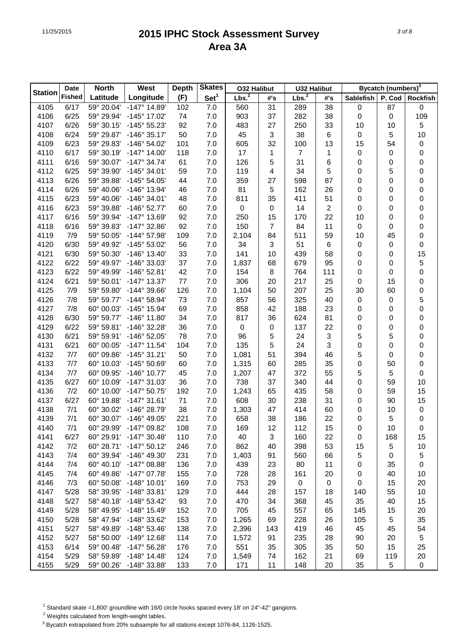| Lbs. <sup>2</sup><br>Lbs. <sup>2</sup><br><b>Fished</b><br>Set <sup>1</sup><br>Latitude<br>Longitude<br>(F)<br>P. Cod<br>#'s<br>#'s<br><b>Sablefish</b><br><b>Rockfish</b><br>4105<br>6/17<br>59° 20.04'<br>$-147^{\circ}$ 14.89'<br>7.0<br>31<br>87<br>102<br>560<br>289<br>38<br>$\boldsymbol{0}$<br>$\pmb{0}$<br>37<br>282<br>38<br>109<br>4106<br>6/25<br>59° 29.94'<br>-145° 17.02'<br>74<br>7.0<br>903<br>$\boldsymbol{0}$<br>0<br>6/26<br>-145° 55.23'<br>92<br>7.0<br>27<br>250<br>33<br>5<br>4107<br>59° 30.15'<br>483<br>10<br>10<br>3<br>10<br>6/24<br>59° 29.87'<br>$-146°35.17'$<br>50<br>7.0<br>45<br>38<br>6<br>$\pmb{0}$<br>5<br>4108<br>6/23<br>59° 29.83'<br>-146° 54.02'<br>7.0<br>32<br>100<br>13<br>15<br>54<br>4109<br>101<br>605<br>$\pmb{0}$<br>6/17<br>$-147^{\circ}$ 14.00'<br>118<br>7.0<br>17<br>$\overline{7}$<br>1<br>$\pmb{0}$<br>4110<br>59° 30.19'<br>1<br>$\boldsymbol{0}$<br>0<br>7.0<br>5<br>31<br>6<br>0<br>4111<br>6/16<br>59° 30.07'<br>$-147^{\circ}$ 34.74'<br>61<br>126<br>0<br>0<br>6/25<br>$-145^{\circ}$ 34.01'<br>7.0<br>34<br>5<br>5<br>0<br>4112<br>59° 39.90'<br>59<br>119<br>4<br>0<br>6/26<br>-145° 54.05'<br>7.0<br>27<br>87<br>0<br>4113<br>59° 39.88'<br>44<br>359<br>598<br>0<br>0<br>-146° 13.94'<br>46<br>81<br>5<br>162<br>26<br>0<br>4114<br>6/26<br>59° 40.06'<br>7.0<br>0<br>0<br>6/23<br>$-146°34.01'$<br>7.0<br>811<br>35<br>411<br>51<br>$\boldsymbol{0}$<br>0<br>4115<br>59° 40.06'<br>48<br>0<br>$\overline{c}$<br>6/23<br>$-146°52.77'$<br>0<br>14<br>0<br>0<br>4116<br>59° 39.88'<br>60<br>7.0<br>$\pmb{0}$<br>0<br>22<br>6/16<br>-147° 13.69'<br>7.0<br>15<br>0<br>4117<br>59° 39.94'<br>92<br>250<br>170<br>10<br>0<br>92<br>7.0<br>150<br>7<br>84<br>11<br>$\pmb{0}$<br>0<br>4118<br>6/16<br>59° 39.83'<br>$-147^{\circ}$ 32.86'<br>0<br>-144° 57.98'<br>7.0<br>84<br>511<br>59<br>45<br>0<br>4119<br>7/9<br>59° 50.05'<br>109<br>2,104<br>10<br>-145° 53.02'<br>56<br>3<br>51<br>6<br>0<br>4120<br>6/30<br>59° 49.92'<br>7.0<br>34<br>$\boldsymbol{0}$<br>0<br>15<br>$-146^{\circ}$ 13.40'<br>33<br>141<br>4121<br>6/30<br>59° 50.30'<br>7.0<br>10<br>439<br>58<br>0<br>0<br>5<br>4122<br>6/22<br>-146° 33.03'<br>37<br>7.0<br>679<br>95<br>59° 49.97'<br>1,837<br>68<br>0<br>0<br>6/22<br>$-146°52.81'$<br>42<br>7.0<br>8<br>764<br>111<br>0<br>4123<br>59° 49.99'<br>154<br>0<br>0<br>6/21<br>$-147^{\circ}$ 13.37'<br>7.0<br>306<br>20<br>217<br>25<br>$\boldsymbol{0}$<br>15<br>$\pmb{0}$<br>4124<br>59° 50.01'<br>77<br>4125<br>-144° 39.66'<br>7.0<br>50<br>207<br>25<br>30<br>60<br>$\pmb{0}$<br>7/9<br>59° 59.80'<br>126<br>1,104<br>5<br>-144° 58.94'<br>73<br>7.0<br>56<br>325<br>40<br>4126<br>7/8<br>59° 59.77'<br>857<br>$\boldsymbol{0}$<br>0<br>$\pmb{0}$<br>4127<br>-145° 15.94'<br>69<br>7.0<br>42<br>188<br>23<br>7/8<br>60° 00.03'<br>858<br>0<br>0<br>$-146^{\circ}$ 11.80'<br>34<br>7.0<br>817<br>36<br>624<br>81<br>0<br>4128<br>6/30<br>59° 59.77'<br>0<br>0<br>6/22<br>-146° 32.28'<br>36<br>137<br>22<br>0<br>4129<br>59° 59.81'<br>7.0<br>$\mathbf 0$<br>0<br>0<br>0<br>6/21<br>-146° 52.05'<br>78<br>96<br>5<br>24<br>3<br>5<br>5<br>0<br>4130<br>59° 59.91'<br>7.0<br>3<br>6/21<br>7.0<br>135<br>5<br>24<br>$\boldsymbol{0}$<br>0<br>4131<br>60° 00.05'<br>$-147^{\circ}$ 11.54'<br>104<br>0<br>4132<br>$-145°31.21'$<br>50<br>7.0<br>1,081<br>51<br>394<br>46<br>5<br>0<br>7/7<br>60° 09.86'<br>0<br>4133<br>-145° 50.69'<br>7.0<br>1,315<br>285<br>35<br>$\boldsymbol{0}$<br>50<br>0<br>7/7<br>60° 10.03'<br>60<br>60<br>-146° 10.77'<br>45<br>7.0<br>1,207<br>47<br>372<br>55<br>5<br>5<br>$\pmb{0}$<br>4134<br>7/7<br>60° 09.95'<br>$-147°31.03'$<br>36<br>738<br>37<br>340<br>44<br>$\boldsymbol{0}$<br>59<br>10<br>4135<br>6/27<br>60° 10.09'<br>7.0<br>7/2<br>65<br>435<br>15<br>4136<br>60° 10.00'<br>$-147^{\circ}50.75'$<br>192<br>7.0<br>1,243<br>58<br>0<br>59<br>608<br>30<br>238<br>31<br>15<br>4137<br>6/27<br>60° 19.88'<br>$-147°31.61'$<br>71<br>7.0<br>0<br>90<br>4138<br>7/1<br>60° 30.02'<br>-146° 28.79'<br>38<br>7.0<br>47<br>414<br>10<br>1,303<br>60<br>0<br>$\pmb{0}$<br>4139<br>7/1<br>60° 30.07'<br>-146° 49.05'<br>7.0<br>658<br>38<br>22<br>$\mathbf 0$<br>5<br>$\pmb{0}$<br>221<br>186<br>-147° 09.82'<br>112<br>10<br>4140<br>7/1<br>60° 29.99'<br>108<br>7.0<br>12<br>0<br>169<br>15<br>0<br>3<br>4141<br>6/27<br>60° 29.91'<br>$-147^{\circ}$ 30.48'<br>110<br>7.0<br>40<br>160<br>22<br>168<br>15<br>0<br>398<br>53<br>5<br>10<br>4142<br>7/2<br>60° 28.71'<br>$-147^{\circ} 50.12'$<br>7.0<br>862<br>246<br>40<br>15<br>-146° 49.30'<br>$7.0\,$<br>5<br>4143<br>7/4<br>60° 39.94'<br>1,403<br>91<br>560<br>66<br>5<br>0<br>231<br>$7.0\,$<br>11<br>4144<br>7/4<br>60° 40.10'<br>$-147^{\circ}$ 08.88'<br>439<br>23<br>80<br>0<br>35<br>0<br>136<br>4145<br>60° 49.86'<br>$-147^{\circ}$ 07.78'<br>155<br>7.0<br>728<br>28<br>20<br>40<br>10<br>7/4<br>161<br>0<br>$-148°$ 10.01'<br>0<br>4146<br>7/3<br>60° 50.08'<br>169<br>7.0<br>753<br>29<br>$\pmb{0}$<br>15<br>20<br>0<br>-148° 33.81'<br>$10$<br>4147<br>5/28<br>58° 39.95'<br>7.0<br>444<br>28<br>157<br>55<br>129<br>18<br>140<br>$7.0\,$<br>15<br>4148<br>5/27<br>58° 40.18'<br>$-148°53.42'$<br>93<br>470<br>34<br>368<br>45<br>35<br>40<br>-148° 15.49'<br>$7.0\,$<br>20<br>4149<br>5/28<br>58° 49.95'<br>152<br>705<br>45<br>557<br>145<br>15<br>65<br>-148° 33.62'<br>$7.0\,$<br>228<br>5<br>35<br>4150<br>5/28<br>58° 47.94'<br>153<br>1,265<br>69<br>26<br>105<br>$7.0\,$<br>419<br>46<br>4151<br>5/27<br>58° 49.89'<br>$-148°53.46'$<br>138<br>2,396<br>45<br>45<br>54<br>143<br>5<br>235<br>4152<br>5/27<br>58° 50.00'<br>-149° 12.68'<br>114<br>7.0<br>1,572<br>91<br>28<br>90<br>20<br>4153<br>6/14<br>59° 00.48'<br>$-147^{\circ} 56.28'$<br>7.0<br>551<br>35<br>305<br>35<br>15<br>25<br>176<br>50<br>$-148°$ 14.48'<br>162<br>21<br>$20\,$<br>4154<br>5/29<br>58° 59.89'<br>7.0<br>1,549<br>74<br>119<br>124<br>69 |                | <b>Date</b> | <b>North</b> | West         | <b>Depth</b> | <b>Skates</b> | <b>032 Halibut</b> |    | U32 Halibut |    |    | Bycatch (numbers) <sup>3</sup> |           |
|----------------------------------------------------------------------------------------------------------------------------------------------------------------------------------------------------------------------------------------------------------------------------------------------------------------------------------------------------------------------------------------------------------------------------------------------------------------------------------------------------------------------------------------------------------------------------------------------------------------------------------------------------------------------------------------------------------------------------------------------------------------------------------------------------------------------------------------------------------------------------------------------------------------------------------------------------------------------------------------------------------------------------------------------------------------------------------------------------------------------------------------------------------------------------------------------------------------------------------------------------------------------------------------------------------------------------------------------------------------------------------------------------------------------------------------------------------------------------------------------------------------------------------------------------------------------------------------------------------------------------------------------------------------------------------------------------------------------------------------------------------------------------------------------------------------------------------------------------------------------------------------------------------------------------------------------------------------------------------------------------------------------------------------------------------------------------------------------------------------------------------------------------------------------------------------------------------------------------------------------------------------------------------------------------------------------------------------------------------------------------------------------------------------------------------------------------------------------------------------------------------------------------------------------------------------------------------------------------------------------------------------------------------------------------------------------------------------------------------------------------------------------------------------------------------------------------------------------------------------------------------------------------------------------------------------------------------------------------------------------------------------------------------------------------------------------------------------------------------------------------------------------------------------------------------------------------------------------------------------------------------------------------------------------------------------------------------------------------------------------------------------------------------------------------------------------------------------------------------------------------------------------------------------------------------------------------------------------------------------------------------------------------------------------------------------------------------------------------------------------------------------------------------------------------------------------------------------------------------------------------------------------------------------------------------------------------------------------------------------------------------------------------------------------------------------------------------------------------------------------------------------------------------------------------------------------------------------------------------------------------------------------------------------------------------------------------------------------------------------------------------------------------------------------------------------------------------------------------------------------------------------------------------------------------------------------------------------------------------------------------------------------------------------------------------------------------------------------------------------------------------------------------------------------------------------------------------------------------------------------------------------------------------------------------------------------------------------------------------------------------------------------------------------------------------------------------------------------------------------------------------------------------------------------------------------------------------------------------------------------------------------------------------------------------------------------------------------------------------------------------------------------------------------------------------------------------------------------------------------------------------------------------------------------------------------------------------------------------------------------------------------------------------------------------------------------------------------------------------------------------------------------------------------------------------------------------------------------------------------------------------------------------------------------------------|----------------|-------------|--------------|--------------|--------------|---------------|--------------------|----|-------------|----|----|--------------------------------|-----------|
|                                                                                                                                                                                                                                                                                                                                                                                                                                                                                                                                                                                                                                                                                                                                                                                                                                                                                                                                                                                                                                                                                                                                                                                                                                                                                                                                                                                                                                                                                                                                                                                                                                                                                                                                                                                                                                                                                                                                                                                                                                                                                                                                                                                                                                                                                                                                                                                                                                                                                                                                                                                                                                                                                                                                                                                                                                                                                                                                                                                                                                                                                                                                                                                                                                                                                                                                                                                                                                                                                                                                                                                                                                                                                                                                                                                                                                                                                                                                                                                                                                                                                                                                                                                                                                                                                                                                                                                                                                                                                                                                                                                                                                                                                                                                                                                                                                                                                                                                                                                                                                                                                                                                                                                                                                                                                                                                                                                                                                                                                                                                                                                                                                                                                                                                                                                                                                                                                                                                  | <b>Station</b> |             |              |              |              |               |                    |    |             |    |    |                                |           |
|                                                                                                                                                                                                                                                                                                                                                                                                                                                                                                                                                                                                                                                                                                                                                                                                                                                                                                                                                                                                                                                                                                                                                                                                                                                                                                                                                                                                                                                                                                                                                                                                                                                                                                                                                                                                                                                                                                                                                                                                                                                                                                                                                                                                                                                                                                                                                                                                                                                                                                                                                                                                                                                                                                                                                                                                                                                                                                                                                                                                                                                                                                                                                                                                                                                                                                                                                                                                                                                                                                                                                                                                                                                                                                                                                                                                                                                                                                                                                                                                                                                                                                                                                                                                                                                                                                                                                                                                                                                                                                                                                                                                                                                                                                                                                                                                                                                                                                                                                                                                                                                                                                                                                                                                                                                                                                                                                                                                                                                                                                                                                                                                                                                                                                                                                                                                                                                                                                                                  |                |             |              |              |              |               |                    |    |             |    |    |                                |           |
|                                                                                                                                                                                                                                                                                                                                                                                                                                                                                                                                                                                                                                                                                                                                                                                                                                                                                                                                                                                                                                                                                                                                                                                                                                                                                                                                                                                                                                                                                                                                                                                                                                                                                                                                                                                                                                                                                                                                                                                                                                                                                                                                                                                                                                                                                                                                                                                                                                                                                                                                                                                                                                                                                                                                                                                                                                                                                                                                                                                                                                                                                                                                                                                                                                                                                                                                                                                                                                                                                                                                                                                                                                                                                                                                                                                                                                                                                                                                                                                                                                                                                                                                                                                                                                                                                                                                                                                                                                                                                                                                                                                                                                                                                                                                                                                                                                                                                                                                                                                                                                                                                                                                                                                                                                                                                                                                                                                                                                                                                                                                                                                                                                                                                                                                                                                                                                                                                                                                  |                |             |              |              |              |               |                    |    |             |    |    |                                |           |
|                                                                                                                                                                                                                                                                                                                                                                                                                                                                                                                                                                                                                                                                                                                                                                                                                                                                                                                                                                                                                                                                                                                                                                                                                                                                                                                                                                                                                                                                                                                                                                                                                                                                                                                                                                                                                                                                                                                                                                                                                                                                                                                                                                                                                                                                                                                                                                                                                                                                                                                                                                                                                                                                                                                                                                                                                                                                                                                                                                                                                                                                                                                                                                                                                                                                                                                                                                                                                                                                                                                                                                                                                                                                                                                                                                                                                                                                                                                                                                                                                                                                                                                                                                                                                                                                                                                                                                                                                                                                                                                                                                                                                                                                                                                                                                                                                                                                                                                                                                                                                                                                                                                                                                                                                                                                                                                                                                                                                                                                                                                                                                                                                                                                                                                                                                                                                                                                                                                                  |                |             |              |              |              |               |                    |    |             |    |    |                                |           |
|                                                                                                                                                                                                                                                                                                                                                                                                                                                                                                                                                                                                                                                                                                                                                                                                                                                                                                                                                                                                                                                                                                                                                                                                                                                                                                                                                                                                                                                                                                                                                                                                                                                                                                                                                                                                                                                                                                                                                                                                                                                                                                                                                                                                                                                                                                                                                                                                                                                                                                                                                                                                                                                                                                                                                                                                                                                                                                                                                                                                                                                                                                                                                                                                                                                                                                                                                                                                                                                                                                                                                                                                                                                                                                                                                                                                                                                                                                                                                                                                                                                                                                                                                                                                                                                                                                                                                                                                                                                                                                                                                                                                                                                                                                                                                                                                                                                                                                                                                                                                                                                                                                                                                                                                                                                                                                                                                                                                                                                                                                                                                                                                                                                                                                                                                                                                                                                                                                                                  |                |             |              |              |              |               |                    |    |             |    |    |                                |           |
|                                                                                                                                                                                                                                                                                                                                                                                                                                                                                                                                                                                                                                                                                                                                                                                                                                                                                                                                                                                                                                                                                                                                                                                                                                                                                                                                                                                                                                                                                                                                                                                                                                                                                                                                                                                                                                                                                                                                                                                                                                                                                                                                                                                                                                                                                                                                                                                                                                                                                                                                                                                                                                                                                                                                                                                                                                                                                                                                                                                                                                                                                                                                                                                                                                                                                                                                                                                                                                                                                                                                                                                                                                                                                                                                                                                                                                                                                                                                                                                                                                                                                                                                                                                                                                                                                                                                                                                                                                                                                                                                                                                                                                                                                                                                                                                                                                                                                                                                                                                                                                                                                                                                                                                                                                                                                                                                                                                                                                                                                                                                                                                                                                                                                                                                                                                                                                                                                                                                  |                |             |              |              |              |               |                    |    |             |    |    |                                |           |
|                                                                                                                                                                                                                                                                                                                                                                                                                                                                                                                                                                                                                                                                                                                                                                                                                                                                                                                                                                                                                                                                                                                                                                                                                                                                                                                                                                                                                                                                                                                                                                                                                                                                                                                                                                                                                                                                                                                                                                                                                                                                                                                                                                                                                                                                                                                                                                                                                                                                                                                                                                                                                                                                                                                                                                                                                                                                                                                                                                                                                                                                                                                                                                                                                                                                                                                                                                                                                                                                                                                                                                                                                                                                                                                                                                                                                                                                                                                                                                                                                                                                                                                                                                                                                                                                                                                                                                                                                                                                                                                                                                                                                                                                                                                                                                                                                                                                                                                                                                                                                                                                                                                                                                                                                                                                                                                                                                                                                                                                                                                                                                                                                                                                                                                                                                                                                                                                                                                                  |                |             |              |              |              |               |                    |    |             |    |    |                                |           |
|                                                                                                                                                                                                                                                                                                                                                                                                                                                                                                                                                                                                                                                                                                                                                                                                                                                                                                                                                                                                                                                                                                                                                                                                                                                                                                                                                                                                                                                                                                                                                                                                                                                                                                                                                                                                                                                                                                                                                                                                                                                                                                                                                                                                                                                                                                                                                                                                                                                                                                                                                                                                                                                                                                                                                                                                                                                                                                                                                                                                                                                                                                                                                                                                                                                                                                                                                                                                                                                                                                                                                                                                                                                                                                                                                                                                                                                                                                                                                                                                                                                                                                                                                                                                                                                                                                                                                                                                                                                                                                                                                                                                                                                                                                                                                                                                                                                                                                                                                                                                                                                                                                                                                                                                                                                                                                                                                                                                                                                                                                                                                                                                                                                                                                                                                                                                                                                                                                                                  |                |             |              |              |              |               |                    |    |             |    |    |                                |           |
|                                                                                                                                                                                                                                                                                                                                                                                                                                                                                                                                                                                                                                                                                                                                                                                                                                                                                                                                                                                                                                                                                                                                                                                                                                                                                                                                                                                                                                                                                                                                                                                                                                                                                                                                                                                                                                                                                                                                                                                                                                                                                                                                                                                                                                                                                                                                                                                                                                                                                                                                                                                                                                                                                                                                                                                                                                                                                                                                                                                                                                                                                                                                                                                                                                                                                                                                                                                                                                                                                                                                                                                                                                                                                                                                                                                                                                                                                                                                                                                                                                                                                                                                                                                                                                                                                                                                                                                                                                                                                                                                                                                                                                                                                                                                                                                                                                                                                                                                                                                                                                                                                                                                                                                                                                                                                                                                                                                                                                                                                                                                                                                                                                                                                                                                                                                                                                                                                                                                  |                |             |              |              |              |               |                    |    |             |    |    |                                |           |
|                                                                                                                                                                                                                                                                                                                                                                                                                                                                                                                                                                                                                                                                                                                                                                                                                                                                                                                                                                                                                                                                                                                                                                                                                                                                                                                                                                                                                                                                                                                                                                                                                                                                                                                                                                                                                                                                                                                                                                                                                                                                                                                                                                                                                                                                                                                                                                                                                                                                                                                                                                                                                                                                                                                                                                                                                                                                                                                                                                                                                                                                                                                                                                                                                                                                                                                                                                                                                                                                                                                                                                                                                                                                                                                                                                                                                                                                                                                                                                                                                                                                                                                                                                                                                                                                                                                                                                                                                                                                                                                                                                                                                                                                                                                                                                                                                                                                                                                                                                                                                                                                                                                                                                                                                                                                                                                                                                                                                                                                                                                                                                                                                                                                                                                                                                                                                                                                                                                                  |                |             |              |              |              |               |                    |    |             |    |    |                                |           |
|                                                                                                                                                                                                                                                                                                                                                                                                                                                                                                                                                                                                                                                                                                                                                                                                                                                                                                                                                                                                                                                                                                                                                                                                                                                                                                                                                                                                                                                                                                                                                                                                                                                                                                                                                                                                                                                                                                                                                                                                                                                                                                                                                                                                                                                                                                                                                                                                                                                                                                                                                                                                                                                                                                                                                                                                                                                                                                                                                                                                                                                                                                                                                                                                                                                                                                                                                                                                                                                                                                                                                                                                                                                                                                                                                                                                                                                                                                                                                                                                                                                                                                                                                                                                                                                                                                                                                                                                                                                                                                                                                                                                                                                                                                                                                                                                                                                                                                                                                                                                                                                                                                                                                                                                                                                                                                                                                                                                                                                                                                                                                                                                                                                                                                                                                                                                                                                                                                                                  |                |             |              |              |              |               |                    |    |             |    |    |                                |           |
|                                                                                                                                                                                                                                                                                                                                                                                                                                                                                                                                                                                                                                                                                                                                                                                                                                                                                                                                                                                                                                                                                                                                                                                                                                                                                                                                                                                                                                                                                                                                                                                                                                                                                                                                                                                                                                                                                                                                                                                                                                                                                                                                                                                                                                                                                                                                                                                                                                                                                                                                                                                                                                                                                                                                                                                                                                                                                                                                                                                                                                                                                                                                                                                                                                                                                                                                                                                                                                                                                                                                                                                                                                                                                                                                                                                                                                                                                                                                                                                                                                                                                                                                                                                                                                                                                                                                                                                                                                                                                                                                                                                                                                                                                                                                                                                                                                                                                                                                                                                                                                                                                                                                                                                                                                                                                                                                                                                                                                                                                                                                                                                                                                                                                                                                                                                                                                                                                                                                  |                |             |              |              |              |               |                    |    |             |    |    |                                |           |
|                                                                                                                                                                                                                                                                                                                                                                                                                                                                                                                                                                                                                                                                                                                                                                                                                                                                                                                                                                                                                                                                                                                                                                                                                                                                                                                                                                                                                                                                                                                                                                                                                                                                                                                                                                                                                                                                                                                                                                                                                                                                                                                                                                                                                                                                                                                                                                                                                                                                                                                                                                                                                                                                                                                                                                                                                                                                                                                                                                                                                                                                                                                                                                                                                                                                                                                                                                                                                                                                                                                                                                                                                                                                                                                                                                                                                                                                                                                                                                                                                                                                                                                                                                                                                                                                                                                                                                                                                                                                                                                                                                                                                                                                                                                                                                                                                                                                                                                                                                                                                                                                                                                                                                                                                                                                                                                                                                                                                                                                                                                                                                                                                                                                                                                                                                                                                                                                                                                                  |                |             |              |              |              |               |                    |    |             |    |    |                                |           |
|                                                                                                                                                                                                                                                                                                                                                                                                                                                                                                                                                                                                                                                                                                                                                                                                                                                                                                                                                                                                                                                                                                                                                                                                                                                                                                                                                                                                                                                                                                                                                                                                                                                                                                                                                                                                                                                                                                                                                                                                                                                                                                                                                                                                                                                                                                                                                                                                                                                                                                                                                                                                                                                                                                                                                                                                                                                                                                                                                                                                                                                                                                                                                                                                                                                                                                                                                                                                                                                                                                                                                                                                                                                                                                                                                                                                                                                                                                                                                                                                                                                                                                                                                                                                                                                                                                                                                                                                                                                                                                                                                                                                                                                                                                                                                                                                                                                                                                                                                                                                                                                                                                                                                                                                                                                                                                                                                                                                                                                                                                                                                                                                                                                                                                                                                                                                                                                                                                                                  |                |             |              |              |              |               |                    |    |             |    |    |                                |           |
|                                                                                                                                                                                                                                                                                                                                                                                                                                                                                                                                                                                                                                                                                                                                                                                                                                                                                                                                                                                                                                                                                                                                                                                                                                                                                                                                                                                                                                                                                                                                                                                                                                                                                                                                                                                                                                                                                                                                                                                                                                                                                                                                                                                                                                                                                                                                                                                                                                                                                                                                                                                                                                                                                                                                                                                                                                                                                                                                                                                                                                                                                                                                                                                                                                                                                                                                                                                                                                                                                                                                                                                                                                                                                                                                                                                                                                                                                                                                                                                                                                                                                                                                                                                                                                                                                                                                                                                                                                                                                                                                                                                                                                                                                                                                                                                                                                                                                                                                                                                                                                                                                                                                                                                                                                                                                                                                                                                                                                                                                                                                                                                                                                                                                                                                                                                                                                                                                                                                  |                |             |              |              |              |               |                    |    |             |    |    |                                |           |
|                                                                                                                                                                                                                                                                                                                                                                                                                                                                                                                                                                                                                                                                                                                                                                                                                                                                                                                                                                                                                                                                                                                                                                                                                                                                                                                                                                                                                                                                                                                                                                                                                                                                                                                                                                                                                                                                                                                                                                                                                                                                                                                                                                                                                                                                                                                                                                                                                                                                                                                                                                                                                                                                                                                                                                                                                                                                                                                                                                                                                                                                                                                                                                                                                                                                                                                                                                                                                                                                                                                                                                                                                                                                                                                                                                                                                                                                                                                                                                                                                                                                                                                                                                                                                                                                                                                                                                                                                                                                                                                                                                                                                                                                                                                                                                                                                                                                                                                                                                                                                                                                                                                                                                                                                                                                                                                                                                                                                                                                                                                                                                                                                                                                                                                                                                                                                                                                                                                                  |                |             |              |              |              |               |                    |    |             |    |    |                                |           |
|                                                                                                                                                                                                                                                                                                                                                                                                                                                                                                                                                                                                                                                                                                                                                                                                                                                                                                                                                                                                                                                                                                                                                                                                                                                                                                                                                                                                                                                                                                                                                                                                                                                                                                                                                                                                                                                                                                                                                                                                                                                                                                                                                                                                                                                                                                                                                                                                                                                                                                                                                                                                                                                                                                                                                                                                                                                                                                                                                                                                                                                                                                                                                                                                                                                                                                                                                                                                                                                                                                                                                                                                                                                                                                                                                                                                                                                                                                                                                                                                                                                                                                                                                                                                                                                                                                                                                                                                                                                                                                                                                                                                                                                                                                                                                                                                                                                                                                                                                                                                                                                                                                                                                                                                                                                                                                                                                                                                                                                                                                                                                                                                                                                                                                                                                                                                                                                                                                                                  |                |             |              |              |              |               |                    |    |             |    |    |                                |           |
|                                                                                                                                                                                                                                                                                                                                                                                                                                                                                                                                                                                                                                                                                                                                                                                                                                                                                                                                                                                                                                                                                                                                                                                                                                                                                                                                                                                                                                                                                                                                                                                                                                                                                                                                                                                                                                                                                                                                                                                                                                                                                                                                                                                                                                                                                                                                                                                                                                                                                                                                                                                                                                                                                                                                                                                                                                                                                                                                                                                                                                                                                                                                                                                                                                                                                                                                                                                                                                                                                                                                                                                                                                                                                                                                                                                                                                                                                                                                                                                                                                                                                                                                                                                                                                                                                                                                                                                                                                                                                                                                                                                                                                                                                                                                                                                                                                                                                                                                                                                                                                                                                                                                                                                                                                                                                                                                                                                                                                                                                                                                                                                                                                                                                                                                                                                                                                                                                                                                  |                |             |              |              |              |               |                    |    |             |    |    |                                |           |
|                                                                                                                                                                                                                                                                                                                                                                                                                                                                                                                                                                                                                                                                                                                                                                                                                                                                                                                                                                                                                                                                                                                                                                                                                                                                                                                                                                                                                                                                                                                                                                                                                                                                                                                                                                                                                                                                                                                                                                                                                                                                                                                                                                                                                                                                                                                                                                                                                                                                                                                                                                                                                                                                                                                                                                                                                                                                                                                                                                                                                                                                                                                                                                                                                                                                                                                                                                                                                                                                                                                                                                                                                                                                                                                                                                                                                                                                                                                                                                                                                                                                                                                                                                                                                                                                                                                                                                                                                                                                                                                                                                                                                                                                                                                                                                                                                                                                                                                                                                                                                                                                                                                                                                                                                                                                                                                                                                                                                                                                                                                                                                                                                                                                                                                                                                                                                                                                                                                                  |                |             |              |              |              |               |                    |    |             |    |    |                                |           |
|                                                                                                                                                                                                                                                                                                                                                                                                                                                                                                                                                                                                                                                                                                                                                                                                                                                                                                                                                                                                                                                                                                                                                                                                                                                                                                                                                                                                                                                                                                                                                                                                                                                                                                                                                                                                                                                                                                                                                                                                                                                                                                                                                                                                                                                                                                                                                                                                                                                                                                                                                                                                                                                                                                                                                                                                                                                                                                                                                                                                                                                                                                                                                                                                                                                                                                                                                                                                                                                                                                                                                                                                                                                                                                                                                                                                                                                                                                                                                                                                                                                                                                                                                                                                                                                                                                                                                                                                                                                                                                                                                                                                                                                                                                                                                                                                                                                                                                                                                                                                                                                                                                                                                                                                                                                                                                                                                                                                                                                                                                                                                                                                                                                                                                                                                                                                                                                                                                                                  |                |             |              |              |              |               |                    |    |             |    |    |                                |           |
|                                                                                                                                                                                                                                                                                                                                                                                                                                                                                                                                                                                                                                                                                                                                                                                                                                                                                                                                                                                                                                                                                                                                                                                                                                                                                                                                                                                                                                                                                                                                                                                                                                                                                                                                                                                                                                                                                                                                                                                                                                                                                                                                                                                                                                                                                                                                                                                                                                                                                                                                                                                                                                                                                                                                                                                                                                                                                                                                                                                                                                                                                                                                                                                                                                                                                                                                                                                                                                                                                                                                                                                                                                                                                                                                                                                                                                                                                                                                                                                                                                                                                                                                                                                                                                                                                                                                                                                                                                                                                                                                                                                                                                                                                                                                                                                                                                                                                                                                                                                                                                                                                                                                                                                                                                                                                                                                                                                                                                                                                                                                                                                                                                                                                                                                                                                                                                                                                                                                  |                |             |              |              |              |               |                    |    |             |    |    |                                |           |
|                                                                                                                                                                                                                                                                                                                                                                                                                                                                                                                                                                                                                                                                                                                                                                                                                                                                                                                                                                                                                                                                                                                                                                                                                                                                                                                                                                                                                                                                                                                                                                                                                                                                                                                                                                                                                                                                                                                                                                                                                                                                                                                                                                                                                                                                                                                                                                                                                                                                                                                                                                                                                                                                                                                                                                                                                                                                                                                                                                                                                                                                                                                                                                                                                                                                                                                                                                                                                                                                                                                                                                                                                                                                                                                                                                                                                                                                                                                                                                                                                                                                                                                                                                                                                                                                                                                                                                                                                                                                                                                                                                                                                                                                                                                                                                                                                                                                                                                                                                                                                                                                                                                                                                                                                                                                                                                                                                                                                                                                                                                                                                                                                                                                                                                                                                                                                                                                                                                                  |                |             |              |              |              |               |                    |    |             |    |    |                                |           |
|                                                                                                                                                                                                                                                                                                                                                                                                                                                                                                                                                                                                                                                                                                                                                                                                                                                                                                                                                                                                                                                                                                                                                                                                                                                                                                                                                                                                                                                                                                                                                                                                                                                                                                                                                                                                                                                                                                                                                                                                                                                                                                                                                                                                                                                                                                                                                                                                                                                                                                                                                                                                                                                                                                                                                                                                                                                                                                                                                                                                                                                                                                                                                                                                                                                                                                                                                                                                                                                                                                                                                                                                                                                                                                                                                                                                                                                                                                                                                                                                                                                                                                                                                                                                                                                                                                                                                                                                                                                                                                                                                                                                                                                                                                                                                                                                                                                                                                                                                                                                                                                                                                                                                                                                                                                                                                                                                                                                                                                                                                                                                                                                                                                                                                                                                                                                                                                                                                                                  |                |             |              |              |              |               |                    |    |             |    |    |                                |           |
|                                                                                                                                                                                                                                                                                                                                                                                                                                                                                                                                                                                                                                                                                                                                                                                                                                                                                                                                                                                                                                                                                                                                                                                                                                                                                                                                                                                                                                                                                                                                                                                                                                                                                                                                                                                                                                                                                                                                                                                                                                                                                                                                                                                                                                                                                                                                                                                                                                                                                                                                                                                                                                                                                                                                                                                                                                                                                                                                                                                                                                                                                                                                                                                                                                                                                                                                                                                                                                                                                                                                                                                                                                                                                                                                                                                                                                                                                                                                                                                                                                                                                                                                                                                                                                                                                                                                                                                                                                                                                                                                                                                                                                                                                                                                                                                                                                                                                                                                                                                                                                                                                                                                                                                                                                                                                                                                                                                                                                                                                                                                                                                                                                                                                                                                                                                                                                                                                                                                  |                |             |              |              |              |               |                    |    |             |    |    |                                |           |
|                                                                                                                                                                                                                                                                                                                                                                                                                                                                                                                                                                                                                                                                                                                                                                                                                                                                                                                                                                                                                                                                                                                                                                                                                                                                                                                                                                                                                                                                                                                                                                                                                                                                                                                                                                                                                                                                                                                                                                                                                                                                                                                                                                                                                                                                                                                                                                                                                                                                                                                                                                                                                                                                                                                                                                                                                                                                                                                                                                                                                                                                                                                                                                                                                                                                                                                                                                                                                                                                                                                                                                                                                                                                                                                                                                                                                                                                                                                                                                                                                                                                                                                                                                                                                                                                                                                                                                                                                                                                                                                                                                                                                                                                                                                                                                                                                                                                                                                                                                                                                                                                                                                                                                                                                                                                                                                                                                                                                                                                                                                                                                                                                                                                                                                                                                                                                                                                                                                                  |                |             |              |              |              |               |                    |    |             |    |    |                                |           |
|                                                                                                                                                                                                                                                                                                                                                                                                                                                                                                                                                                                                                                                                                                                                                                                                                                                                                                                                                                                                                                                                                                                                                                                                                                                                                                                                                                                                                                                                                                                                                                                                                                                                                                                                                                                                                                                                                                                                                                                                                                                                                                                                                                                                                                                                                                                                                                                                                                                                                                                                                                                                                                                                                                                                                                                                                                                                                                                                                                                                                                                                                                                                                                                                                                                                                                                                                                                                                                                                                                                                                                                                                                                                                                                                                                                                                                                                                                                                                                                                                                                                                                                                                                                                                                                                                                                                                                                                                                                                                                                                                                                                                                                                                                                                                                                                                                                                                                                                                                                                                                                                                                                                                                                                                                                                                                                                                                                                                                                                                                                                                                                                                                                                                                                                                                                                                                                                                                                                  |                |             |              |              |              |               |                    |    |             |    |    |                                |           |
|                                                                                                                                                                                                                                                                                                                                                                                                                                                                                                                                                                                                                                                                                                                                                                                                                                                                                                                                                                                                                                                                                                                                                                                                                                                                                                                                                                                                                                                                                                                                                                                                                                                                                                                                                                                                                                                                                                                                                                                                                                                                                                                                                                                                                                                                                                                                                                                                                                                                                                                                                                                                                                                                                                                                                                                                                                                                                                                                                                                                                                                                                                                                                                                                                                                                                                                                                                                                                                                                                                                                                                                                                                                                                                                                                                                                                                                                                                                                                                                                                                                                                                                                                                                                                                                                                                                                                                                                                                                                                                                                                                                                                                                                                                                                                                                                                                                                                                                                                                                                                                                                                                                                                                                                                                                                                                                                                                                                                                                                                                                                                                                                                                                                                                                                                                                                                                                                                                                                  |                |             |              |              |              |               |                    |    |             |    |    |                                |           |
|                                                                                                                                                                                                                                                                                                                                                                                                                                                                                                                                                                                                                                                                                                                                                                                                                                                                                                                                                                                                                                                                                                                                                                                                                                                                                                                                                                                                                                                                                                                                                                                                                                                                                                                                                                                                                                                                                                                                                                                                                                                                                                                                                                                                                                                                                                                                                                                                                                                                                                                                                                                                                                                                                                                                                                                                                                                                                                                                                                                                                                                                                                                                                                                                                                                                                                                                                                                                                                                                                                                                                                                                                                                                                                                                                                                                                                                                                                                                                                                                                                                                                                                                                                                                                                                                                                                                                                                                                                                                                                                                                                                                                                                                                                                                                                                                                                                                                                                                                                                                                                                                                                                                                                                                                                                                                                                                                                                                                                                                                                                                                                                                                                                                                                                                                                                                                                                                                                                                  |                |             |              |              |              |               |                    |    |             |    |    |                                |           |
|                                                                                                                                                                                                                                                                                                                                                                                                                                                                                                                                                                                                                                                                                                                                                                                                                                                                                                                                                                                                                                                                                                                                                                                                                                                                                                                                                                                                                                                                                                                                                                                                                                                                                                                                                                                                                                                                                                                                                                                                                                                                                                                                                                                                                                                                                                                                                                                                                                                                                                                                                                                                                                                                                                                                                                                                                                                                                                                                                                                                                                                                                                                                                                                                                                                                                                                                                                                                                                                                                                                                                                                                                                                                                                                                                                                                                                                                                                                                                                                                                                                                                                                                                                                                                                                                                                                                                                                                                                                                                                                                                                                                                                                                                                                                                                                                                                                                                                                                                                                                                                                                                                                                                                                                                                                                                                                                                                                                                                                                                                                                                                                                                                                                                                                                                                                                                                                                                                                                  |                |             |              |              |              |               |                    |    |             |    |    |                                |           |
|                                                                                                                                                                                                                                                                                                                                                                                                                                                                                                                                                                                                                                                                                                                                                                                                                                                                                                                                                                                                                                                                                                                                                                                                                                                                                                                                                                                                                                                                                                                                                                                                                                                                                                                                                                                                                                                                                                                                                                                                                                                                                                                                                                                                                                                                                                                                                                                                                                                                                                                                                                                                                                                                                                                                                                                                                                                                                                                                                                                                                                                                                                                                                                                                                                                                                                                                                                                                                                                                                                                                                                                                                                                                                                                                                                                                                                                                                                                                                                                                                                                                                                                                                                                                                                                                                                                                                                                                                                                                                                                                                                                                                                                                                                                                                                                                                                                                                                                                                                                                                                                                                                                                                                                                                                                                                                                                                                                                                                                                                                                                                                                                                                                                                                                                                                                                                                                                                                                                  |                |             |              |              |              |               |                    |    |             |    |    |                                |           |
|                                                                                                                                                                                                                                                                                                                                                                                                                                                                                                                                                                                                                                                                                                                                                                                                                                                                                                                                                                                                                                                                                                                                                                                                                                                                                                                                                                                                                                                                                                                                                                                                                                                                                                                                                                                                                                                                                                                                                                                                                                                                                                                                                                                                                                                                                                                                                                                                                                                                                                                                                                                                                                                                                                                                                                                                                                                                                                                                                                                                                                                                                                                                                                                                                                                                                                                                                                                                                                                                                                                                                                                                                                                                                                                                                                                                                                                                                                                                                                                                                                                                                                                                                                                                                                                                                                                                                                                                                                                                                                                                                                                                                                                                                                                                                                                                                                                                                                                                                                                                                                                                                                                                                                                                                                                                                                                                                                                                                                                                                                                                                                                                                                                                                                                                                                                                                                                                                                                                  |                |             |              |              |              |               |                    |    |             |    |    |                                |           |
|                                                                                                                                                                                                                                                                                                                                                                                                                                                                                                                                                                                                                                                                                                                                                                                                                                                                                                                                                                                                                                                                                                                                                                                                                                                                                                                                                                                                                                                                                                                                                                                                                                                                                                                                                                                                                                                                                                                                                                                                                                                                                                                                                                                                                                                                                                                                                                                                                                                                                                                                                                                                                                                                                                                                                                                                                                                                                                                                                                                                                                                                                                                                                                                                                                                                                                                                                                                                                                                                                                                                                                                                                                                                                                                                                                                                                                                                                                                                                                                                                                                                                                                                                                                                                                                                                                                                                                                                                                                                                                                                                                                                                                                                                                                                                                                                                                                                                                                                                                                                                                                                                                                                                                                                                                                                                                                                                                                                                                                                                                                                                                                                                                                                                                                                                                                                                                                                                                                                  |                |             |              |              |              |               |                    |    |             |    |    |                                |           |
|                                                                                                                                                                                                                                                                                                                                                                                                                                                                                                                                                                                                                                                                                                                                                                                                                                                                                                                                                                                                                                                                                                                                                                                                                                                                                                                                                                                                                                                                                                                                                                                                                                                                                                                                                                                                                                                                                                                                                                                                                                                                                                                                                                                                                                                                                                                                                                                                                                                                                                                                                                                                                                                                                                                                                                                                                                                                                                                                                                                                                                                                                                                                                                                                                                                                                                                                                                                                                                                                                                                                                                                                                                                                                                                                                                                                                                                                                                                                                                                                                                                                                                                                                                                                                                                                                                                                                                                                                                                                                                                                                                                                                                                                                                                                                                                                                                                                                                                                                                                                                                                                                                                                                                                                                                                                                                                                                                                                                                                                                                                                                                                                                                                                                                                                                                                                                                                                                                                                  |                |             |              |              |              |               |                    |    |             |    |    |                                |           |
|                                                                                                                                                                                                                                                                                                                                                                                                                                                                                                                                                                                                                                                                                                                                                                                                                                                                                                                                                                                                                                                                                                                                                                                                                                                                                                                                                                                                                                                                                                                                                                                                                                                                                                                                                                                                                                                                                                                                                                                                                                                                                                                                                                                                                                                                                                                                                                                                                                                                                                                                                                                                                                                                                                                                                                                                                                                                                                                                                                                                                                                                                                                                                                                                                                                                                                                                                                                                                                                                                                                                                                                                                                                                                                                                                                                                                                                                                                                                                                                                                                                                                                                                                                                                                                                                                                                                                                                                                                                                                                                                                                                                                                                                                                                                                                                                                                                                                                                                                                                                                                                                                                                                                                                                                                                                                                                                                                                                                                                                                                                                                                                                                                                                                                                                                                                                                                                                                                                                  |                |             |              |              |              |               |                    |    |             |    |    |                                |           |
|                                                                                                                                                                                                                                                                                                                                                                                                                                                                                                                                                                                                                                                                                                                                                                                                                                                                                                                                                                                                                                                                                                                                                                                                                                                                                                                                                                                                                                                                                                                                                                                                                                                                                                                                                                                                                                                                                                                                                                                                                                                                                                                                                                                                                                                                                                                                                                                                                                                                                                                                                                                                                                                                                                                                                                                                                                                                                                                                                                                                                                                                                                                                                                                                                                                                                                                                                                                                                                                                                                                                                                                                                                                                                                                                                                                                                                                                                                                                                                                                                                                                                                                                                                                                                                                                                                                                                                                                                                                                                                                                                                                                                                                                                                                                                                                                                                                                                                                                                                                                                                                                                                                                                                                                                                                                                                                                                                                                                                                                                                                                                                                                                                                                                                                                                                                                                                                                                                                                  |                |             |              |              |              |               |                    |    |             |    |    |                                |           |
|                                                                                                                                                                                                                                                                                                                                                                                                                                                                                                                                                                                                                                                                                                                                                                                                                                                                                                                                                                                                                                                                                                                                                                                                                                                                                                                                                                                                                                                                                                                                                                                                                                                                                                                                                                                                                                                                                                                                                                                                                                                                                                                                                                                                                                                                                                                                                                                                                                                                                                                                                                                                                                                                                                                                                                                                                                                                                                                                                                                                                                                                                                                                                                                                                                                                                                                                                                                                                                                                                                                                                                                                                                                                                                                                                                                                                                                                                                                                                                                                                                                                                                                                                                                                                                                                                                                                                                                                                                                                                                                                                                                                                                                                                                                                                                                                                                                                                                                                                                                                                                                                                                                                                                                                                                                                                                                                                                                                                                                                                                                                                                                                                                                                                                                                                                                                                                                                                                                                  |                |             |              |              |              |               |                    |    |             |    |    |                                |           |
|                                                                                                                                                                                                                                                                                                                                                                                                                                                                                                                                                                                                                                                                                                                                                                                                                                                                                                                                                                                                                                                                                                                                                                                                                                                                                                                                                                                                                                                                                                                                                                                                                                                                                                                                                                                                                                                                                                                                                                                                                                                                                                                                                                                                                                                                                                                                                                                                                                                                                                                                                                                                                                                                                                                                                                                                                                                                                                                                                                                                                                                                                                                                                                                                                                                                                                                                                                                                                                                                                                                                                                                                                                                                                                                                                                                                                                                                                                                                                                                                                                                                                                                                                                                                                                                                                                                                                                                                                                                                                                                                                                                                                                                                                                                                                                                                                                                                                                                                                                                                                                                                                                                                                                                                                                                                                                                                                                                                                                                                                                                                                                                                                                                                                                                                                                                                                                                                                                                                  |                |             |              |              |              |               |                    |    |             |    |    |                                |           |
|                                                                                                                                                                                                                                                                                                                                                                                                                                                                                                                                                                                                                                                                                                                                                                                                                                                                                                                                                                                                                                                                                                                                                                                                                                                                                                                                                                                                                                                                                                                                                                                                                                                                                                                                                                                                                                                                                                                                                                                                                                                                                                                                                                                                                                                                                                                                                                                                                                                                                                                                                                                                                                                                                                                                                                                                                                                                                                                                                                                                                                                                                                                                                                                                                                                                                                                                                                                                                                                                                                                                                                                                                                                                                                                                                                                                                                                                                                                                                                                                                                                                                                                                                                                                                                                                                                                                                                                                                                                                                                                                                                                                                                                                                                                                                                                                                                                                                                                                                                                                                                                                                                                                                                                                                                                                                                                                                                                                                                                                                                                                                                                                                                                                                                                                                                                                                                                                                                                                  |                |             |              |              |              |               |                    |    |             |    |    |                                |           |
|                                                                                                                                                                                                                                                                                                                                                                                                                                                                                                                                                                                                                                                                                                                                                                                                                                                                                                                                                                                                                                                                                                                                                                                                                                                                                                                                                                                                                                                                                                                                                                                                                                                                                                                                                                                                                                                                                                                                                                                                                                                                                                                                                                                                                                                                                                                                                                                                                                                                                                                                                                                                                                                                                                                                                                                                                                                                                                                                                                                                                                                                                                                                                                                                                                                                                                                                                                                                                                                                                                                                                                                                                                                                                                                                                                                                                                                                                                                                                                                                                                                                                                                                                                                                                                                                                                                                                                                                                                                                                                                                                                                                                                                                                                                                                                                                                                                                                                                                                                                                                                                                                                                                                                                                                                                                                                                                                                                                                                                                                                                                                                                                                                                                                                                                                                                                                                                                                                                                  |                |             |              |              |              |               |                    |    |             |    |    |                                |           |
|                                                                                                                                                                                                                                                                                                                                                                                                                                                                                                                                                                                                                                                                                                                                                                                                                                                                                                                                                                                                                                                                                                                                                                                                                                                                                                                                                                                                                                                                                                                                                                                                                                                                                                                                                                                                                                                                                                                                                                                                                                                                                                                                                                                                                                                                                                                                                                                                                                                                                                                                                                                                                                                                                                                                                                                                                                                                                                                                                                                                                                                                                                                                                                                                                                                                                                                                                                                                                                                                                                                                                                                                                                                                                                                                                                                                                                                                                                                                                                                                                                                                                                                                                                                                                                                                                                                                                                                                                                                                                                                                                                                                                                                                                                                                                                                                                                                                                                                                                                                                                                                                                                                                                                                                                                                                                                                                                                                                                                                                                                                                                                                                                                                                                                                                                                                                                                                                                                                                  |                |             |              |              |              |               |                    |    |             |    |    |                                |           |
|                                                                                                                                                                                                                                                                                                                                                                                                                                                                                                                                                                                                                                                                                                                                                                                                                                                                                                                                                                                                                                                                                                                                                                                                                                                                                                                                                                                                                                                                                                                                                                                                                                                                                                                                                                                                                                                                                                                                                                                                                                                                                                                                                                                                                                                                                                                                                                                                                                                                                                                                                                                                                                                                                                                                                                                                                                                                                                                                                                                                                                                                                                                                                                                                                                                                                                                                                                                                                                                                                                                                                                                                                                                                                                                                                                                                                                                                                                                                                                                                                                                                                                                                                                                                                                                                                                                                                                                                                                                                                                                                                                                                                                                                                                                                                                                                                                                                                                                                                                                                                                                                                                                                                                                                                                                                                                                                                                                                                                                                                                                                                                                                                                                                                                                                                                                                                                                                                                                                  |                |             |              |              |              |               |                    |    |             |    |    |                                |           |
|                                                                                                                                                                                                                                                                                                                                                                                                                                                                                                                                                                                                                                                                                                                                                                                                                                                                                                                                                                                                                                                                                                                                                                                                                                                                                                                                                                                                                                                                                                                                                                                                                                                                                                                                                                                                                                                                                                                                                                                                                                                                                                                                                                                                                                                                                                                                                                                                                                                                                                                                                                                                                                                                                                                                                                                                                                                                                                                                                                                                                                                                                                                                                                                                                                                                                                                                                                                                                                                                                                                                                                                                                                                                                                                                                                                                                                                                                                                                                                                                                                                                                                                                                                                                                                                                                                                                                                                                                                                                                                                                                                                                                                                                                                                                                                                                                                                                                                                                                                                                                                                                                                                                                                                                                                                                                                                                                                                                                                                                                                                                                                                                                                                                                                                                                                                                                                                                                                                                  |                |             |              |              |              |               |                    |    |             |    |    |                                |           |
|                                                                                                                                                                                                                                                                                                                                                                                                                                                                                                                                                                                                                                                                                                                                                                                                                                                                                                                                                                                                                                                                                                                                                                                                                                                                                                                                                                                                                                                                                                                                                                                                                                                                                                                                                                                                                                                                                                                                                                                                                                                                                                                                                                                                                                                                                                                                                                                                                                                                                                                                                                                                                                                                                                                                                                                                                                                                                                                                                                                                                                                                                                                                                                                                                                                                                                                                                                                                                                                                                                                                                                                                                                                                                                                                                                                                                                                                                                                                                                                                                                                                                                                                                                                                                                                                                                                                                                                                                                                                                                                                                                                                                                                                                                                                                                                                                                                                                                                                                                                                                                                                                                                                                                                                                                                                                                                                                                                                                                                                                                                                                                                                                                                                                                                                                                                                                                                                                                                                  |                |             |              |              |              |               |                    |    |             |    |    |                                |           |
|                                                                                                                                                                                                                                                                                                                                                                                                                                                                                                                                                                                                                                                                                                                                                                                                                                                                                                                                                                                                                                                                                                                                                                                                                                                                                                                                                                                                                                                                                                                                                                                                                                                                                                                                                                                                                                                                                                                                                                                                                                                                                                                                                                                                                                                                                                                                                                                                                                                                                                                                                                                                                                                                                                                                                                                                                                                                                                                                                                                                                                                                                                                                                                                                                                                                                                                                                                                                                                                                                                                                                                                                                                                                                                                                                                                                                                                                                                                                                                                                                                                                                                                                                                                                                                                                                                                                                                                                                                                                                                                                                                                                                                                                                                                                                                                                                                                                                                                                                                                                                                                                                                                                                                                                                                                                                                                                                                                                                                                                                                                                                                                                                                                                                                                                                                                                                                                                                                                                  |                |             |              |              |              |               |                    |    |             |    |    |                                |           |
|                                                                                                                                                                                                                                                                                                                                                                                                                                                                                                                                                                                                                                                                                                                                                                                                                                                                                                                                                                                                                                                                                                                                                                                                                                                                                                                                                                                                                                                                                                                                                                                                                                                                                                                                                                                                                                                                                                                                                                                                                                                                                                                                                                                                                                                                                                                                                                                                                                                                                                                                                                                                                                                                                                                                                                                                                                                                                                                                                                                                                                                                                                                                                                                                                                                                                                                                                                                                                                                                                                                                                                                                                                                                                                                                                                                                                                                                                                                                                                                                                                                                                                                                                                                                                                                                                                                                                                                                                                                                                                                                                                                                                                                                                                                                                                                                                                                                                                                                                                                                                                                                                                                                                                                                                                                                                                                                                                                                                                                                                                                                                                                                                                                                                                                                                                                                                                                                                                                                  |                |             |              |              |              |               |                    |    |             |    |    |                                |           |
|                                                                                                                                                                                                                                                                                                                                                                                                                                                                                                                                                                                                                                                                                                                                                                                                                                                                                                                                                                                                                                                                                                                                                                                                                                                                                                                                                                                                                                                                                                                                                                                                                                                                                                                                                                                                                                                                                                                                                                                                                                                                                                                                                                                                                                                                                                                                                                                                                                                                                                                                                                                                                                                                                                                                                                                                                                                                                                                                                                                                                                                                                                                                                                                                                                                                                                                                                                                                                                                                                                                                                                                                                                                                                                                                                                                                                                                                                                                                                                                                                                                                                                                                                                                                                                                                                                                                                                                                                                                                                                                                                                                                                                                                                                                                                                                                                                                                                                                                                                                                                                                                                                                                                                                                                                                                                                                                                                                                                                                                                                                                                                                                                                                                                                                                                                                                                                                                                                                                  |                |             |              |              |              |               |                    |    |             |    |    |                                |           |
|                                                                                                                                                                                                                                                                                                                                                                                                                                                                                                                                                                                                                                                                                                                                                                                                                                                                                                                                                                                                                                                                                                                                                                                                                                                                                                                                                                                                                                                                                                                                                                                                                                                                                                                                                                                                                                                                                                                                                                                                                                                                                                                                                                                                                                                                                                                                                                                                                                                                                                                                                                                                                                                                                                                                                                                                                                                                                                                                                                                                                                                                                                                                                                                                                                                                                                                                                                                                                                                                                                                                                                                                                                                                                                                                                                                                                                                                                                                                                                                                                                                                                                                                                                                                                                                                                                                                                                                                                                                                                                                                                                                                                                                                                                                                                                                                                                                                                                                                                                                                                                                                                                                                                                                                                                                                                                                                                                                                                                                                                                                                                                                                                                                                                                                                                                                                                                                                                                                                  |                |             |              |              |              |               |                    |    |             |    |    |                                |           |
|                                                                                                                                                                                                                                                                                                                                                                                                                                                                                                                                                                                                                                                                                                                                                                                                                                                                                                                                                                                                                                                                                                                                                                                                                                                                                                                                                                                                                                                                                                                                                                                                                                                                                                                                                                                                                                                                                                                                                                                                                                                                                                                                                                                                                                                                                                                                                                                                                                                                                                                                                                                                                                                                                                                                                                                                                                                                                                                                                                                                                                                                                                                                                                                                                                                                                                                                                                                                                                                                                                                                                                                                                                                                                                                                                                                                                                                                                                                                                                                                                                                                                                                                                                                                                                                                                                                                                                                                                                                                                                                                                                                                                                                                                                                                                                                                                                                                                                                                                                                                                                                                                                                                                                                                                                                                                                                                                                                                                                                                                                                                                                                                                                                                                                                                                                                                                                                                                                                                  |                |             |              |              |              |               |                    |    |             |    |    |                                |           |
|                                                                                                                                                                                                                                                                                                                                                                                                                                                                                                                                                                                                                                                                                                                                                                                                                                                                                                                                                                                                                                                                                                                                                                                                                                                                                                                                                                                                                                                                                                                                                                                                                                                                                                                                                                                                                                                                                                                                                                                                                                                                                                                                                                                                                                                                                                                                                                                                                                                                                                                                                                                                                                                                                                                                                                                                                                                                                                                                                                                                                                                                                                                                                                                                                                                                                                                                                                                                                                                                                                                                                                                                                                                                                                                                                                                                                                                                                                                                                                                                                                                                                                                                                                                                                                                                                                                                                                                                                                                                                                                                                                                                                                                                                                                                                                                                                                                                                                                                                                                                                                                                                                                                                                                                                                                                                                                                                                                                                                                                                                                                                                                                                                                                                                                                                                                                                                                                                                                                  |                |             |              |              |              |               |                    |    |             |    |    |                                |           |
|                                                                                                                                                                                                                                                                                                                                                                                                                                                                                                                                                                                                                                                                                                                                                                                                                                                                                                                                                                                                                                                                                                                                                                                                                                                                                                                                                                                                                                                                                                                                                                                                                                                                                                                                                                                                                                                                                                                                                                                                                                                                                                                                                                                                                                                                                                                                                                                                                                                                                                                                                                                                                                                                                                                                                                                                                                                                                                                                                                                                                                                                                                                                                                                                                                                                                                                                                                                                                                                                                                                                                                                                                                                                                                                                                                                                                                                                                                                                                                                                                                                                                                                                                                                                                                                                                                                                                                                                                                                                                                                                                                                                                                                                                                                                                                                                                                                                                                                                                                                                                                                                                                                                                                                                                                                                                                                                                                                                                                                                                                                                                                                                                                                                                                                                                                                                                                                                                                                                  |                |             |              |              |              |               |                    |    |             |    |    |                                |           |
|                                                                                                                                                                                                                                                                                                                                                                                                                                                                                                                                                                                                                                                                                                                                                                                                                                                                                                                                                                                                                                                                                                                                                                                                                                                                                                                                                                                                                                                                                                                                                                                                                                                                                                                                                                                                                                                                                                                                                                                                                                                                                                                                                                                                                                                                                                                                                                                                                                                                                                                                                                                                                                                                                                                                                                                                                                                                                                                                                                                                                                                                                                                                                                                                                                                                                                                                                                                                                                                                                                                                                                                                                                                                                                                                                                                                                                                                                                                                                                                                                                                                                                                                                                                                                                                                                                                                                                                                                                                                                                                                                                                                                                                                                                                                                                                                                                                                                                                                                                                                                                                                                                                                                                                                                                                                                                                                                                                                                                                                                                                                                                                                                                                                                                                                                                                                                                                                                                                                  |                |             |              |              |              |               |                    |    |             |    |    |                                |           |
|                                                                                                                                                                                                                                                                                                                                                                                                                                                                                                                                                                                                                                                                                                                                                                                                                                                                                                                                                                                                                                                                                                                                                                                                                                                                                                                                                                                                                                                                                                                                                                                                                                                                                                                                                                                                                                                                                                                                                                                                                                                                                                                                                                                                                                                                                                                                                                                                                                                                                                                                                                                                                                                                                                                                                                                                                                                                                                                                                                                                                                                                                                                                                                                                                                                                                                                                                                                                                                                                                                                                                                                                                                                                                                                                                                                                                                                                                                                                                                                                                                                                                                                                                                                                                                                                                                                                                                                                                                                                                                                                                                                                                                                                                                                                                                                                                                                                                                                                                                                                                                                                                                                                                                                                                                                                                                                                                                                                                                                                                                                                                                                                                                                                                                                                                                                                                                                                                                                                  |                |             |              |              |              |               |                    |    |             |    |    |                                |           |
|                                                                                                                                                                                                                                                                                                                                                                                                                                                                                                                                                                                                                                                                                                                                                                                                                                                                                                                                                                                                                                                                                                                                                                                                                                                                                                                                                                                                                                                                                                                                                                                                                                                                                                                                                                                                                                                                                                                                                                                                                                                                                                                                                                                                                                                                                                                                                                                                                                                                                                                                                                                                                                                                                                                                                                                                                                                                                                                                                                                                                                                                                                                                                                                                                                                                                                                                                                                                                                                                                                                                                                                                                                                                                                                                                                                                                                                                                                                                                                                                                                                                                                                                                                                                                                                                                                                                                                                                                                                                                                                                                                                                                                                                                                                                                                                                                                                                                                                                                                                                                                                                                                                                                                                                                                                                                                                                                                                                                                                                                                                                                                                                                                                                                                                                                                                                                                                                                                                                  | 4155           | 5/29        | 59° 00.26'   | -148° 33.88' | 133          | 7.0           | 171                | 11 | 148         | 20 | 35 | 5                              | $\pmb{0}$ |

<sup>1</sup> Standard skate =1,800' groundline with 16/0 circle hooks spaced every 18' on 24"-42" gangions.

2 Weights calculated from length-weight tables.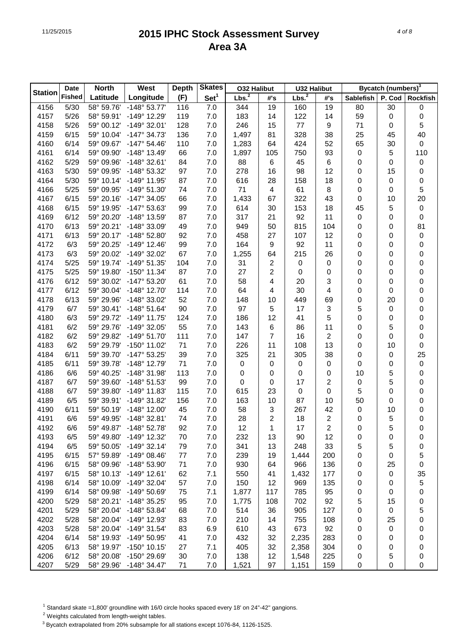|                | Date          | <b>North</b> | West                  | <b>Depth</b> | <b>Skates</b>    | <b>032 Halibut</b> |                | <b>U32 Halibut</b> |                |                  | Bycatch (numbers) <sup>3</sup> |                  |
|----------------|---------------|--------------|-----------------------|--------------|------------------|--------------------|----------------|--------------------|----------------|------------------|--------------------------------|------------------|
| <b>Station</b> | <b>Fished</b> | Latitude     | Longitude             | (F)          | Set <sup>1</sup> | Lbs. <sup>2</sup>  | #'s            | Lbs. <sup>2</sup>  | #'s            | <b>Sablefish</b> | P. Cod                         | <b>Rockfish</b>  |
| 4156           | 5/30          | 58° 59.76'   | -148° 53.77'          | 116          | 7.0              | 344                | 19             | 160                | 19             | 80               | 30                             | 0                |
| 4157           | 5/26          | 58° 59.91'   | -149° 12.29'          | 119          | 7.0              | 183                | 14             | 122                | 14             | 59               | 0                              | $\boldsymbol{0}$ |
| 4158           | 5/26          | 59° 00.12'   | -149° 32.01'          | 128          | 7.0              | 246                | 15             | 77                 | 9              | 71               | 0                              | 5                |
| 4159           | 6/15          | 59° 10.04'   | $-147°34.73'$         | 136          | 7.0              | 1,497              | 81             | 328                | 38             | 25               | 45                             | 40               |
| 4160           | 6/14          | 59° 09.67'   | $-147^{\circ} 54.46'$ | 110          | 7.0              | 1,283              | 64             | 424                | 52             | 65               | 30                             | $\pmb{0}$        |
| 4161           | 6/14          | 59° 09.90'   | $-148°$ 13.49'        | 66           | 7.0              | 1,897              | 105            | 750                | 93             | $\boldsymbol{0}$ | 5                              | 110              |
| 4162           | 5/29          | 59° 09.96'   | -148° 32.61'          | 84           | 7.0              | 88                 | 6              | 45                 | 6              | 0                | 0                              | $\pmb{0}$        |
| 4163           | 5/30          | 59° 09.95'   | -148° 53.32'          | 97           | 7.0              | 278                | 16             | 98                 | 12             | 0                | 15                             | $\pmb{0}$        |
| 4164           | 5/30          | 59° 10.14'   | -149° 11.95'          | 87           | 7.0              | 616                | 28             | 158                | 18             | 0                | 0                              | $\pmb{0}$        |
| 4166           | 5/25          | 59° 09.95'   | -149° 51.30'          | 74           | 7.0              | 71                 | 4              | 61                 | 8              | 0                | 0                              | 5                |
| 4167           | 6/15          | 59° 20.16'   | $-147^{\circ}$ 34.05' | 66           | 7.0              | 1,433              | 67             | 322                | 43             | 0                | 10                             | 20               |
| 4168           | 6/15          | 59° 19.95'   | -147° 53.63'          | 99           | 7.0              | 614                | 30             | 153                | 18             | 45               | 5                              | $\pmb{0}$        |
| 4169           | 6/12          | 59° 20.20'   | -148° 13.59'          | 87           | 7.0              | 317                | 21             | 92                 | 11             | 0                | 0                              | $\pmb{0}$        |
| 4170           | 6/13          | 59° 20.21'   | -148° 33.09'          | 49           | 7.0              | 949                | 50             | 815                | 104            | 0                | 0                              | 81               |
| 4171           | 6/13          | 59° 20.17'   | -148° 52.80'          | 92           | 7.0              | 458                | 27             | 107                | 12             | 0                | 0                              | $\pmb{0}$        |
| 4172           | 6/3           | 59° 20.25'   | $-149^{\circ}$ 12.46' | 99           | 7.0              | 164                | 9              | 92                 | 11             | 0                | 0                              | $\pmb{0}$        |
| 4173           | 6/3           | 59° 20.02'   | -149° 32.02'          | 67           | 7.0              | 1,255              | 64             | 215                | 26             | 0                | 0                              | $\pmb{0}$        |
| 4174           | 5/25          | 59° 19.74'   | -149° 51.35'          | 104          | 7.0              | 31                 | 2              | 0                  | 0              | 0                | 0                              | $\pmb{0}$        |
| 4175           | 5/25          | 59° 19.80'   | $-150^{\circ}$ 11.34' | 87           | 7.0              | 27                 | 2              | 0                  | 0              | 0                | 0                              | $\pmb{0}$        |
| 4176           | 6/12          | 59° 30.02'   | $-147^{\circ} 53.20'$ | 61           | 7.0              | 58                 | 4              | 20                 | 3              | 0                | 0                              | $\pmb{0}$        |
| 4177           | 6/12          | 59° 30.04'   | -148° 12.70'          | 114          | 7.0              | 64                 | 4              | 30                 | 4              | 0                | 0                              | $\pmb{0}$        |
| 4178           | 6/13          | 59° 29.96'   | -148° 33.02'          | 52           | 7.0              | 148                | 10             | 449                | 69             | 0                | 20                             | $\pmb{0}$        |
| 4179           | 6/7           | 59° 30.41'   | $-148°51.64'$         | 90           | 7.0              | 97                 | 5              | 17                 | 3              | 5                | 0                              | $\pmb{0}$        |
| 4180           | 6/3           | 59° 29.72'   | $-149°$ 11.75'        | 124          | 7.0              | 186                | 12             | 41                 | 5              | 0                | 0                              | $\pmb{0}$        |
| 4181           | 6/2           | 59° 29.76'   | -149° 32.05'          | 55           | 7.0              | 143                | 6              | 86                 | 11             | 0                | 5                              | $\pmb{0}$        |
| 4182           | 6/2           | 59° 29.82'   | $-149°51.70'$         | 111          | 7.0              | 147                | 7              | 16                 | $\overline{2}$ | 0                | 0                              | $\pmb{0}$        |
| 4183           | 6/2           | 59° 29.79'   | -150° 11.02'          | 71           | 7.0              | 226                | 11             | 108                | 13             | 0                | 10                             | 0                |
| 4184           | 6/11          | 59° 39.70'   | $-147^{\circ}53.25'$  | 39           | 7.0              | 325                | 21             | 305                | 38             | 0                | 0                              | 25               |
| 4185           | 6/11          | 59° 39.78'   | -148° 12.79'          | 71           | 7.0              | $\pmb{0}$          | 0              | 0                  | 0              | 0                | 0                              | $\pmb{0}$        |
| 4186           | 6/6           | 59° 40.25'   | -148° 31.98'          | 113          | 7.0              | 0                  | 0              | 0                  | 0              | 10               | 5                              | $\pmb{0}$        |
| 4187           | 6/7           | 59° 39.60'   | -148° 51.53'          | 99           | 7.0              | $\pmb{0}$          | 0              | 17                 | $\overline{c}$ | $\boldsymbol{0}$ | 5                              | $\pmb{0}$        |
| 4188           | 6/7           | 59° 39.80'   | -149° 11.83'          | 115          | 7.0              | 615                | 23             | $\pmb{0}$          | 0              | 5                | 0                              | $\pmb{0}$        |
| 4189           | 6/5           | 59° 39.91'   | -149° 31.82'          | 156          | 7.0              | 163                | 10             | 87                 | 10             | 50               | 0                              | 0                |
| 4190           | 6/11          | 59° 50.19'   | $-148^\circ$ 12.00'   | 45           | 7.0              | 58                 | 3              | 267                | 42             | 0                | 10                             | 0                |
| 4191           | 6/6           | 59° 49.95'   | $-148°32.81'$         | 74           | 7.0              | 28                 | $\overline{2}$ | 18                 | $\overline{2}$ | 0                | 5                              | $\mathbf 0$      |
| 4192           | 6/6           | 59° 49.87'   | $-148°52.78'$         | 92           | 7.0              | 12                 | 1              | 17                 | 2              | 0                | 5                              | 0                |
| 4193           | 6/5           | 59° 49.80'   | -149° 12.32'          | 70           | 7.0              | 232                | 13             | 90                 | 12             | 0                | 0                              | 0                |
| 4194           | 6/5           | 59° 50.05'   | $-149°32.14'$         | 79           | 7.0              | 341                | 13             | 248                | 33             | 5                | 5                              | 0                |
| 4195           | 6/15          | 57° 59.89'   | $-149°08.46'$         | 77           | 7.0              | 239                | 19             | 1,444              | 200            | 0                | 0                              | 5                |
| 4196           | 6/15          | 58° 09.96'   | -148° 53.90'          | 71           | 7.0              | 930                | 64             | 966                | 136            | 0                | 25                             | 0                |
| 4197           | 6/15          | 58° 10.13'   | $-149°$ 12.61'        | 62           | 7.1              | 550                | 41             | 1,432              | 177            | 0                | 0                              | 35               |
| 4198           | 6/14          | 58° 10.09'   | -149° 32.04'          | 57           | 7.0              | 150                | 12             | 969                | 135            | 0                | 0                              | 5                |
| 4199           | 6/14          | 58° 09.98'   | -149° 50.69'          | 75           | 7.1              | 1,877              | 117            | 785                | 95             | 0                | 0                              | $\pmb{0}$        |
| 4200           | 5/29          | 58° 20.21'   | -148° 35.25'          | 95           | 7.0              | 1,775              | 108            | 702                | 92             | 5                | 15                             | 0                |
| 4201           | 5/29          | 58° 20.04'   | -148° 53.84'          | 68           | 7.0              | 514                | 36             | 905                | 127            | 0                | 0                              | 5                |
| 4202           | 5/28          | 58° 20.04'   | -149° 12.93'          | 83           | 7.0              | 210                | 14             | 755                | 108            | 0                | 25                             | 0                |
| 4203           | 5/28          | 58° 20.04'   | -149° 31.54'          | 83           | 6.9              | 610                | 43             | 673                | 92             | 0                | 0                              | 0                |
| 4204           | 6/14          | 58° 19.93'   | -149° 50.95'          | 41           | 7.0              | 432                | 32             | 2,235              | 283            | 0                | 0                              | 0                |
| 4205           | 6/13          | 58° 19.97'   | $-150^{\circ}$ 10.15' | 27           | 7.1              | 405                | 32             | 2,358              | 304            | 0                | 0                              | 0                |
| 4206           | 6/12          | 58° 20.08'   | -150° 29.69'          | 30           | 7.0              | 138                | 12             | 1,548              | 225            | 0                | 5                              | 0                |
| 4207           | 5/29          | 58° 29.96'   | $-148°34.47'$         | 71           | 7.0              | 1,521              | 97             | 1,151              | 159            | 0                | 0                              | 0                |

<sup>1</sup> Standard skate =1,800' groundline with 16/0 circle hooks spaced every 18' on 24"-42" gangions.

2 Weights calculated from length-weight tables.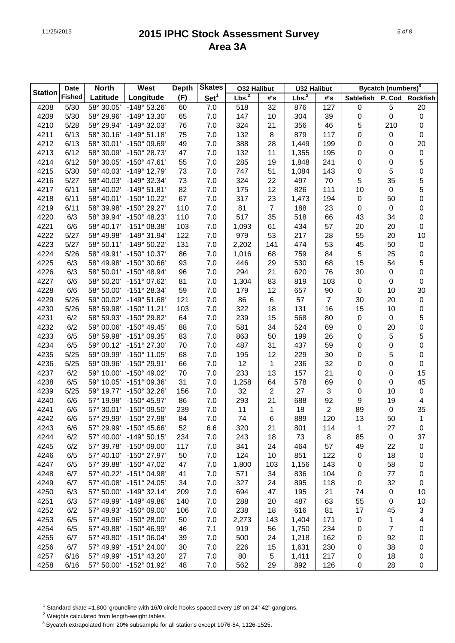| <b>Station</b><br><b>Fished</b><br>Lbs. <sup>2</sup><br>Lbs. <sup>2</sup><br>Set <sup>1</sup><br>Longitude<br>(F)<br>Latitude<br>P. Cod<br>#'s<br>#'s<br>Sablefish<br><b>Rockfish</b><br>58° 30.05'<br>$-148°53.26'$<br>7.0<br>127<br>5<br>4208<br>5/30<br>60<br>518<br>32<br>876<br>$\pmb{0}$<br>20<br>5/30<br>-149° 13.30'<br>65<br>7.0<br>10<br>304<br>39<br>$\mathbf 0$<br>0<br>$\pmb{0}$<br>4209<br>58° 29.96'<br>147<br>5/28<br>76<br>7.0<br>21<br>356<br>46<br>5<br>210<br>$\boldsymbol{0}$<br>4210<br>58° 29.94'<br>-149° 32.03'<br>324<br>6/13<br>$-149°51.18'$<br>75<br>7.0<br>8<br>879<br>0<br>4211<br>58° 30.16'<br>132<br>117<br>0<br>0<br>6/13<br>-150° 09.69'<br>49<br>7.0<br>28<br>20<br>4212<br>58° 30.01'<br>388<br>1,449<br>199<br>0<br>0<br>6/12<br>-150° 28.73'<br>7.0<br>11<br>1,355<br>$\pmb{0}$<br>4213<br>58° 30.09'<br>47<br>132<br>195<br>0<br>0<br>5<br>6/12<br>-150° 47.61'<br>55<br>7.0<br>4214<br>58° 30.05'<br>285<br>19<br>1,848<br>241<br>0<br>0<br>5<br>$\mathbf 0$<br>-149° 12.79'<br>73<br>7.0<br>51<br>0<br>4215<br>5/30<br>58° 40.03'<br>747<br>1,084<br>143<br>5<br>5<br>-149° 32.34'<br>73<br>7.0<br>22<br>35<br>4216<br>5/27<br>58° 40.03'<br>324<br>497<br>70<br>5<br>6/11<br>$-149°51.81'$<br>82<br>7.0<br>12<br>826<br>111<br>4217<br>58° 40.02'<br>175<br>10<br>0<br>$\pmb{0}$<br>-150° 10.22'<br>67<br>7.0<br>23<br>4218<br>6/11<br>58° 40.01'<br>317<br>1,473<br>194<br>$\pmb{0}$<br>50<br>-150° 29.27'<br>110<br>7.0<br>81<br>$\overline{7}$<br>188<br>23<br>0<br>$\pmb{0}$<br>4219<br>6/11<br>58° 39.98'<br>0<br>6/3<br>-150° 48.23'<br>7.0<br>35<br>518<br>66<br>0<br>4220<br>58° 39.94'<br>110<br>517<br>43<br>34<br>6/6<br>$-151^{\circ}$ 08.38'<br>7.0<br>57<br>20<br>20<br>0<br>4221<br>58° 40.17'<br>103<br>1,093<br>61<br>434<br>-149° 31.94'<br>122<br>7.0<br>53<br>217<br>55<br>20<br>10<br>4222<br>5/27<br>58° 49.98'<br>979<br>28<br>-149° 50.22'<br>131<br>7.0<br>53<br>45<br>50<br>4223<br>5/27<br>58° 50.11'<br>2,202<br>141<br>474<br>$\pmb{0}$<br>5<br>-150° 10.37'<br>7.0<br>25<br>$\pmb{0}$<br>4224<br>5/26<br>58° 49.91'<br>86<br>1,016<br>68<br>759<br>84<br>5<br>6/3<br>$-150^{\circ}$ 30.66'<br>7.0<br>15<br>54<br>4225<br>58° 49.98'<br>93<br>446<br>29<br>530<br>68<br>$\mathsf{O}\xspace$<br>6/3<br>$-150^{\circ}$ 48.94'<br>7.0<br>21<br>4226<br>58° 50.01'<br>96<br>294<br>620<br>76<br>30<br>0<br>-151° 07.62'<br>7.0<br>83<br>0<br>4227<br>6/6<br>58° 50.20'<br>81<br>1,304<br>819<br>103<br>$\pmb{0}$<br>0<br>30<br>-151° 28.34'<br>7.0<br>12<br>0<br>4228<br>6/6<br>58° 50.00'<br>59<br>179<br>657<br>90<br>10<br>$-149°51.68'$<br>7.0<br>86<br>6<br>$\overline{7}$<br>20<br>$\pmb{0}$<br>4229<br>5/26<br>59° 00.02'<br>121<br>57<br>30<br>$-150^{\circ}$ 11.21'<br>7.0<br>18<br>131<br>16<br>15<br>10<br>$\pmb{0}$<br>4230<br>5/26<br>58° 59.98'<br>103<br>322<br>5<br>6/2<br>-150° 29.82'<br>7.0<br>15<br>568<br>80<br>0<br>4231<br>58° 59.93'<br>64<br>239<br>0<br>$\mathbf 0$<br>6/2<br>$-150^{\circ}$ 49.45'<br>7.0<br>34<br>524<br>4232<br>59° 00.06'<br>88<br>581<br>69<br>0<br>20<br>5<br>6/5<br>-151° 09.35'<br>7.0<br>5<br>4233<br>58° 59.98'<br>83<br>863<br>50<br>199<br>26<br>0<br>$\pmb{0}$<br>7.0<br>59<br>4234<br>6/5<br>59° 00.12'<br>-151° 27.30'<br>70<br>487<br>31<br>437<br>0<br>0<br>$-150^{\circ}$ 11.05'<br>7.0<br>12<br>229<br>30<br>5<br>0<br>4235<br>5/25<br>59° 09.99'<br>68<br>195<br>0<br>-150° 29.91'<br>7.0<br>12<br>236<br>32<br>0<br>4236<br>5/25<br>59° 09.96'<br>66<br>1<br>0<br>0<br>15<br>6/2<br>-150° 49.02'<br>7.0<br>13<br>157<br>21<br>4237<br>59° 10.00'<br>70<br>233<br>0<br>0<br>45<br>6/5<br>-151° 09.36'<br>31<br>7.0<br>64<br>69<br>0<br>4238<br>59° 10.05'<br>1,258<br>578<br>0<br>-150° 32.26'<br>7.0<br>32<br>2<br>27<br>3<br>0<br>$\pmb{0}$<br>4239<br>5/25<br>59° 19.77'<br>156<br>10<br>6/6<br>-150° 45.97'<br>86<br>7.0<br>21<br>92<br>9<br>4240<br>57° 19.98'<br>293<br>688<br>19<br>4<br>$\overline{2}$<br>35<br>6/6<br>-150° 09.50'<br>7.0<br>11<br>18<br>4241<br>57° 30.01'<br>239<br>1<br>89<br>0<br>$\mathbf{1}$<br>6/6<br>-150° 27.98'<br>7.0<br>74<br>6<br>889<br>120<br>13<br>4242<br>57° 29.99'<br>84<br>50<br>52<br>6.6<br>21<br>1<br>4243<br>6/6<br>57° 29.99'<br>$-150^{\circ}$ 45.66'<br>320<br>801<br>114<br>27<br>$\pmb{0}$<br>4244<br>6/2<br>57° 40.00'<br>$-149°50.15'$<br>234<br>7.0<br>243<br>18<br>73<br>8<br>85<br>0<br>37<br>4245<br>6/2<br>57° 39.78'<br>-150° 09.00'<br>117<br>7.0<br>341<br>24<br>464<br>57<br>49<br>22<br>$\pmb{0}$<br>851<br>4246<br>6/5<br>57° 40.10'<br>-150° 27.97'<br>50<br>7.0<br>124<br>10<br>122<br>18<br>0<br>0<br>7.0<br>58<br>4247<br>6/5<br>57° 39.88'<br>-150° 47.02'<br>47<br>1,800<br>1,156<br>143<br>103<br>0<br>0<br>7.0<br>4248<br>6/7<br>57° 40.22'<br>-151° 04.98'<br>41<br>571<br>34<br>836<br>104<br>77<br>0<br>0<br>32<br>4249<br>6/7<br>57° 40.08'<br>-151° 24.05'<br>34<br>7.0<br>327<br>24<br>895<br>118<br>$\pmb{0}$<br>0<br>4250<br>6/3<br>57° 50.00'<br>$-149°32.14'$<br>7.0<br>694<br>195<br>21<br>74<br>0<br>10<br>209<br>47<br>4251<br>6/3<br>57° 49.99'<br>$-149^{\circ}$ 49.86'<br>7.0<br>288<br>487<br>63<br>55<br>0<br>10<br>140<br>20<br>4252<br>6/2<br>57° 49.93'<br>-150° 09.00'<br>7.0<br>238<br>18<br>616<br>81<br>17<br>3<br>106<br>45<br>1<br>4253<br>6/5<br>57° 49.96'<br>-150° 28.00'<br>50<br>7.0<br>171<br>0<br>4<br>2,273<br>143<br>1,404<br>$\overline{7}$<br>7.1<br>4254<br>6/5<br>57° 49.88'<br>-150° 46.99'<br>46<br>919<br>56<br>1,750<br>234<br>0<br>0<br>7.0<br>92<br>4255<br>6/7<br>57° 49.80'<br>$-151^{\circ}$ 06.04'<br>500<br>24<br>1,218<br>162<br>39<br>0<br>0<br>7.0<br>4256<br>6/7<br>57° 49.99'<br>-151° 24.00'<br>1,631<br>230<br>38<br>30<br>226<br>15<br>0<br>0<br>4257<br>6/16<br>57° 49.99'<br>$-151^{\circ}$ 43.20'<br>27<br>7.0<br>80<br>5<br>1,411<br>217<br>18<br>0<br>0 |      | Date | <b>North</b> | West         | <b>Depth</b> | <b>Skates</b> | <b>O32 Halibut</b> |    | <b>U32 Halibut</b> |     | Bycatch (numbers) <sup>3</sup> |    |   |  |
|---------------------------------------------------------------------------------------------------------------------------------------------------------------------------------------------------------------------------------------------------------------------------------------------------------------------------------------------------------------------------------------------------------------------------------------------------------------------------------------------------------------------------------------------------------------------------------------------------------------------------------------------------------------------------------------------------------------------------------------------------------------------------------------------------------------------------------------------------------------------------------------------------------------------------------------------------------------------------------------------------------------------------------------------------------------------------------------------------------------------------------------------------------------------------------------------------------------------------------------------------------------------------------------------------------------------------------------------------------------------------------------------------------------------------------------------------------------------------------------------------------------------------------------------------------------------------------------------------------------------------------------------------------------------------------------------------------------------------------------------------------------------------------------------------------------------------------------------------------------------------------------------------------------------------------------------------------------------------------------------------------------------------------------------------------------------------------------------------------------------------------------------------------------------------------------------------------------------------------------------------------------------------------------------------------------------------------------------------------------------------------------------------------------------------------------------------------------------------------------------------------------------------------------------------------------------------------------------------------------------------------------------------------------------------------------------------------------------------------------------------------------------------------------------------------------------------------------------------------------------------------------------------------------------------------------------------------------------------------------------------------------------------------------------------------------------------------------------------------------------------------------------------------------------------------------------------------------------------------------------------------------------------------------------------------------------------------------------------------------------------------------------------------------------------------------------------------------------------------------------------------------------------------------------------------------------------------------------------------------------------------------------------------------------------------------------------------------------------------------------------------------------------------------------------------------------------------------------------------------------------------------------------------------------------------------------------------------------------------------------------------------------------------------------------------------------------------------------------------------------------------------------------------------------------------------------------------------------------------------------------------------------------------------------------------------------------------------------------------------------------------------------------------------------------------------------------------------------------------------------------------------------------------------------------------------------------------------------------------------------------------------------------------------------------------------------------------------------------------------------------------------------------------------------------------------------------------------------------------------------------------------------------------------------------------------------------------------------------------------------------------------------------------------------------------------------------------------------------------------------------------------------------------------------------------------------------------------------------------------------------------------------------------------------------------------------------------------------------------------------------------------------------------------------------------------------------------------------------------------------------------------------------------------------------------------------------------------------------------------------------------------------------------------------------------------------------------------------------------------------------------------------------------------------------------------------------------------|------|------|--------------|--------------|--------------|---------------|--------------------|----|--------------------|-----|--------------------------------|----|---|--|
|                                                                                                                                                                                                                                                                                                                                                                                                                                                                                                                                                                                                                                                                                                                                                                                                                                                                                                                                                                                                                                                                                                                                                                                                                                                                                                                                                                                                                                                                                                                                                                                                                                                                                                                                                                                                                                                                                                                                                                                                                                                                                                                                                                                                                                                                                                                                                                                                                                                                                                                                                                                                                                                                                                                                                                                                                                                                                                                                                                                                                                                                                                                                                                                                                                                                                                                                                                                                                                                                                                                                                                                                                                                                                                                                                                                                                                                                                                                                                                                                                                                                                                                                                                                                                                                                                                                                                                                                                                                                                                                                                                                                                                                                                                                                                                                                                                                                                                                                                                                                                                                                                                                                                                                                                                                                                                                                                                                                                                                                                                                                                                                                                                                                                                                                                                                                                                       |      |      |              |              |              |               |                    |    |                    |     |                                |    |   |  |
|                                                                                                                                                                                                                                                                                                                                                                                                                                                                                                                                                                                                                                                                                                                                                                                                                                                                                                                                                                                                                                                                                                                                                                                                                                                                                                                                                                                                                                                                                                                                                                                                                                                                                                                                                                                                                                                                                                                                                                                                                                                                                                                                                                                                                                                                                                                                                                                                                                                                                                                                                                                                                                                                                                                                                                                                                                                                                                                                                                                                                                                                                                                                                                                                                                                                                                                                                                                                                                                                                                                                                                                                                                                                                                                                                                                                                                                                                                                                                                                                                                                                                                                                                                                                                                                                                                                                                                                                                                                                                                                                                                                                                                                                                                                                                                                                                                                                                                                                                                                                                                                                                                                                                                                                                                                                                                                                                                                                                                                                                                                                                                                                                                                                                                                                                                                                                                       |      |      |              |              |              |               |                    |    |                    |     |                                |    |   |  |
|                                                                                                                                                                                                                                                                                                                                                                                                                                                                                                                                                                                                                                                                                                                                                                                                                                                                                                                                                                                                                                                                                                                                                                                                                                                                                                                                                                                                                                                                                                                                                                                                                                                                                                                                                                                                                                                                                                                                                                                                                                                                                                                                                                                                                                                                                                                                                                                                                                                                                                                                                                                                                                                                                                                                                                                                                                                                                                                                                                                                                                                                                                                                                                                                                                                                                                                                                                                                                                                                                                                                                                                                                                                                                                                                                                                                                                                                                                                                                                                                                                                                                                                                                                                                                                                                                                                                                                                                                                                                                                                                                                                                                                                                                                                                                                                                                                                                                                                                                                                                                                                                                                                                                                                                                                                                                                                                                                                                                                                                                                                                                                                                                                                                                                                                                                                                                                       |      |      |              |              |              |               |                    |    |                    |     |                                |    |   |  |
|                                                                                                                                                                                                                                                                                                                                                                                                                                                                                                                                                                                                                                                                                                                                                                                                                                                                                                                                                                                                                                                                                                                                                                                                                                                                                                                                                                                                                                                                                                                                                                                                                                                                                                                                                                                                                                                                                                                                                                                                                                                                                                                                                                                                                                                                                                                                                                                                                                                                                                                                                                                                                                                                                                                                                                                                                                                                                                                                                                                                                                                                                                                                                                                                                                                                                                                                                                                                                                                                                                                                                                                                                                                                                                                                                                                                                                                                                                                                                                                                                                                                                                                                                                                                                                                                                                                                                                                                                                                                                                                                                                                                                                                                                                                                                                                                                                                                                                                                                                                                                                                                                                                                                                                                                                                                                                                                                                                                                                                                                                                                                                                                                                                                                                                                                                                                                                       |      |      |              |              |              |               |                    |    |                    |     |                                |    |   |  |
|                                                                                                                                                                                                                                                                                                                                                                                                                                                                                                                                                                                                                                                                                                                                                                                                                                                                                                                                                                                                                                                                                                                                                                                                                                                                                                                                                                                                                                                                                                                                                                                                                                                                                                                                                                                                                                                                                                                                                                                                                                                                                                                                                                                                                                                                                                                                                                                                                                                                                                                                                                                                                                                                                                                                                                                                                                                                                                                                                                                                                                                                                                                                                                                                                                                                                                                                                                                                                                                                                                                                                                                                                                                                                                                                                                                                                                                                                                                                                                                                                                                                                                                                                                                                                                                                                                                                                                                                                                                                                                                                                                                                                                                                                                                                                                                                                                                                                                                                                                                                                                                                                                                                                                                                                                                                                                                                                                                                                                                                                                                                                                                                                                                                                                                                                                                                                                       |      |      |              |              |              |               |                    |    |                    |     |                                |    |   |  |
|                                                                                                                                                                                                                                                                                                                                                                                                                                                                                                                                                                                                                                                                                                                                                                                                                                                                                                                                                                                                                                                                                                                                                                                                                                                                                                                                                                                                                                                                                                                                                                                                                                                                                                                                                                                                                                                                                                                                                                                                                                                                                                                                                                                                                                                                                                                                                                                                                                                                                                                                                                                                                                                                                                                                                                                                                                                                                                                                                                                                                                                                                                                                                                                                                                                                                                                                                                                                                                                                                                                                                                                                                                                                                                                                                                                                                                                                                                                                                                                                                                                                                                                                                                                                                                                                                                                                                                                                                                                                                                                                                                                                                                                                                                                                                                                                                                                                                                                                                                                                                                                                                                                                                                                                                                                                                                                                                                                                                                                                                                                                                                                                                                                                                                                                                                                                                                       |      |      |              |              |              |               |                    |    |                    |     |                                |    |   |  |
|                                                                                                                                                                                                                                                                                                                                                                                                                                                                                                                                                                                                                                                                                                                                                                                                                                                                                                                                                                                                                                                                                                                                                                                                                                                                                                                                                                                                                                                                                                                                                                                                                                                                                                                                                                                                                                                                                                                                                                                                                                                                                                                                                                                                                                                                                                                                                                                                                                                                                                                                                                                                                                                                                                                                                                                                                                                                                                                                                                                                                                                                                                                                                                                                                                                                                                                                                                                                                                                                                                                                                                                                                                                                                                                                                                                                                                                                                                                                                                                                                                                                                                                                                                                                                                                                                                                                                                                                                                                                                                                                                                                                                                                                                                                                                                                                                                                                                                                                                                                                                                                                                                                                                                                                                                                                                                                                                                                                                                                                                                                                                                                                                                                                                                                                                                                                                                       |      |      |              |              |              |               |                    |    |                    |     |                                |    |   |  |
|                                                                                                                                                                                                                                                                                                                                                                                                                                                                                                                                                                                                                                                                                                                                                                                                                                                                                                                                                                                                                                                                                                                                                                                                                                                                                                                                                                                                                                                                                                                                                                                                                                                                                                                                                                                                                                                                                                                                                                                                                                                                                                                                                                                                                                                                                                                                                                                                                                                                                                                                                                                                                                                                                                                                                                                                                                                                                                                                                                                                                                                                                                                                                                                                                                                                                                                                                                                                                                                                                                                                                                                                                                                                                                                                                                                                                                                                                                                                                                                                                                                                                                                                                                                                                                                                                                                                                                                                                                                                                                                                                                                                                                                                                                                                                                                                                                                                                                                                                                                                                                                                                                                                                                                                                                                                                                                                                                                                                                                                                                                                                                                                                                                                                                                                                                                                                                       |      |      |              |              |              |               |                    |    |                    |     |                                |    |   |  |
|                                                                                                                                                                                                                                                                                                                                                                                                                                                                                                                                                                                                                                                                                                                                                                                                                                                                                                                                                                                                                                                                                                                                                                                                                                                                                                                                                                                                                                                                                                                                                                                                                                                                                                                                                                                                                                                                                                                                                                                                                                                                                                                                                                                                                                                                                                                                                                                                                                                                                                                                                                                                                                                                                                                                                                                                                                                                                                                                                                                                                                                                                                                                                                                                                                                                                                                                                                                                                                                                                                                                                                                                                                                                                                                                                                                                                                                                                                                                                                                                                                                                                                                                                                                                                                                                                                                                                                                                                                                                                                                                                                                                                                                                                                                                                                                                                                                                                                                                                                                                                                                                                                                                                                                                                                                                                                                                                                                                                                                                                                                                                                                                                                                                                                                                                                                                                                       |      |      |              |              |              |               |                    |    |                    |     |                                |    |   |  |
|                                                                                                                                                                                                                                                                                                                                                                                                                                                                                                                                                                                                                                                                                                                                                                                                                                                                                                                                                                                                                                                                                                                                                                                                                                                                                                                                                                                                                                                                                                                                                                                                                                                                                                                                                                                                                                                                                                                                                                                                                                                                                                                                                                                                                                                                                                                                                                                                                                                                                                                                                                                                                                                                                                                                                                                                                                                                                                                                                                                                                                                                                                                                                                                                                                                                                                                                                                                                                                                                                                                                                                                                                                                                                                                                                                                                                                                                                                                                                                                                                                                                                                                                                                                                                                                                                                                                                                                                                                                                                                                                                                                                                                                                                                                                                                                                                                                                                                                                                                                                                                                                                                                                                                                                                                                                                                                                                                                                                                                                                                                                                                                                                                                                                                                                                                                                                                       |      |      |              |              |              |               |                    |    |                    |     |                                |    |   |  |
|                                                                                                                                                                                                                                                                                                                                                                                                                                                                                                                                                                                                                                                                                                                                                                                                                                                                                                                                                                                                                                                                                                                                                                                                                                                                                                                                                                                                                                                                                                                                                                                                                                                                                                                                                                                                                                                                                                                                                                                                                                                                                                                                                                                                                                                                                                                                                                                                                                                                                                                                                                                                                                                                                                                                                                                                                                                                                                                                                                                                                                                                                                                                                                                                                                                                                                                                                                                                                                                                                                                                                                                                                                                                                                                                                                                                                                                                                                                                                                                                                                                                                                                                                                                                                                                                                                                                                                                                                                                                                                                                                                                                                                                                                                                                                                                                                                                                                                                                                                                                                                                                                                                                                                                                                                                                                                                                                                                                                                                                                                                                                                                                                                                                                                                                                                                                                                       |      |      |              |              |              |               |                    |    |                    |     |                                |    |   |  |
|                                                                                                                                                                                                                                                                                                                                                                                                                                                                                                                                                                                                                                                                                                                                                                                                                                                                                                                                                                                                                                                                                                                                                                                                                                                                                                                                                                                                                                                                                                                                                                                                                                                                                                                                                                                                                                                                                                                                                                                                                                                                                                                                                                                                                                                                                                                                                                                                                                                                                                                                                                                                                                                                                                                                                                                                                                                                                                                                                                                                                                                                                                                                                                                                                                                                                                                                                                                                                                                                                                                                                                                                                                                                                                                                                                                                                                                                                                                                                                                                                                                                                                                                                                                                                                                                                                                                                                                                                                                                                                                                                                                                                                                                                                                                                                                                                                                                                                                                                                                                                                                                                                                                                                                                                                                                                                                                                                                                                                                                                                                                                                                                                                                                                                                                                                                                                                       |      |      |              |              |              |               |                    |    |                    |     |                                |    |   |  |
|                                                                                                                                                                                                                                                                                                                                                                                                                                                                                                                                                                                                                                                                                                                                                                                                                                                                                                                                                                                                                                                                                                                                                                                                                                                                                                                                                                                                                                                                                                                                                                                                                                                                                                                                                                                                                                                                                                                                                                                                                                                                                                                                                                                                                                                                                                                                                                                                                                                                                                                                                                                                                                                                                                                                                                                                                                                                                                                                                                                                                                                                                                                                                                                                                                                                                                                                                                                                                                                                                                                                                                                                                                                                                                                                                                                                                                                                                                                                                                                                                                                                                                                                                                                                                                                                                                                                                                                                                                                                                                                                                                                                                                                                                                                                                                                                                                                                                                                                                                                                                                                                                                                                                                                                                                                                                                                                                                                                                                                                                                                                                                                                                                                                                                                                                                                                                                       |      |      |              |              |              |               |                    |    |                    |     |                                |    |   |  |
|                                                                                                                                                                                                                                                                                                                                                                                                                                                                                                                                                                                                                                                                                                                                                                                                                                                                                                                                                                                                                                                                                                                                                                                                                                                                                                                                                                                                                                                                                                                                                                                                                                                                                                                                                                                                                                                                                                                                                                                                                                                                                                                                                                                                                                                                                                                                                                                                                                                                                                                                                                                                                                                                                                                                                                                                                                                                                                                                                                                                                                                                                                                                                                                                                                                                                                                                                                                                                                                                                                                                                                                                                                                                                                                                                                                                                                                                                                                                                                                                                                                                                                                                                                                                                                                                                                                                                                                                                                                                                                                                                                                                                                                                                                                                                                                                                                                                                                                                                                                                                                                                                                                                                                                                                                                                                                                                                                                                                                                                                                                                                                                                                                                                                                                                                                                                                                       |      |      |              |              |              |               |                    |    |                    |     |                                |    |   |  |
|                                                                                                                                                                                                                                                                                                                                                                                                                                                                                                                                                                                                                                                                                                                                                                                                                                                                                                                                                                                                                                                                                                                                                                                                                                                                                                                                                                                                                                                                                                                                                                                                                                                                                                                                                                                                                                                                                                                                                                                                                                                                                                                                                                                                                                                                                                                                                                                                                                                                                                                                                                                                                                                                                                                                                                                                                                                                                                                                                                                                                                                                                                                                                                                                                                                                                                                                                                                                                                                                                                                                                                                                                                                                                                                                                                                                                                                                                                                                                                                                                                                                                                                                                                                                                                                                                                                                                                                                                                                                                                                                                                                                                                                                                                                                                                                                                                                                                                                                                                                                                                                                                                                                                                                                                                                                                                                                                                                                                                                                                                                                                                                                                                                                                                                                                                                                                                       |      |      |              |              |              |               |                    |    |                    |     |                                |    |   |  |
|                                                                                                                                                                                                                                                                                                                                                                                                                                                                                                                                                                                                                                                                                                                                                                                                                                                                                                                                                                                                                                                                                                                                                                                                                                                                                                                                                                                                                                                                                                                                                                                                                                                                                                                                                                                                                                                                                                                                                                                                                                                                                                                                                                                                                                                                                                                                                                                                                                                                                                                                                                                                                                                                                                                                                                                                                                                                                                                                                                                                                                                                                                                                                                                                                                                                                                                                                                                                                                                                                                                                                                                                                                                                                                                                                                                                                                                                                                                                                                                                                                                                                                                                                                                                                                                                                                                                                                                                                                                                                                                                                                                                                                                                                                                                                                                                                                                                                                                                                                                                                                                                                                                                                                                                                                                                                                                                                                                                                                                                                                                                                                                                                                                                                                                                                                                                                                       |      |      |              |              |              |               |                    |    |                    |     |                                |    |   |  |
|                                                                                                                                                                                                                                                                                                                                                                                                                                                                                                                                                                                                                                                                                                                                                                                                                                                                                                                                                                                                                                                                                                                                                                                                                                                                                                                                                                                                                                                                                                                                                                                                                                                                                                                                                                                                                                                                                                                                                                                                                                                                                                                                                                                                                                                                                                                                                                                                                                                                                                                                                                                                                                                                                                                                                                                                                                                                                                                                                                                                                                                                                                                                                                                                                                                                                                                                                                                                                                                                                                                                                                                                                                                                                                                                                                                                                                                                                                                                                                                                                                                                                                                                                                                                                                                                                                                                                                                                                                                                                                                                                                                                                                                                                                                                                                                                                                                                                                                                                                                                                                                                                                                                                                                                                                                                                                                                                                                                                                                                                                                                                                                                                                                                                                                                                                                                                                       |      |      |              |              |              |               |                    |    |                    |     |                                |    |   |  |
|                                                                                                                                                                                                                                                                                                                                                                                                                                                                                                                                                                                                                                                                                                                                                                                                                                                                                                                                                                                                                                                                                                                                                                                                                                                                                                                                                                                                                                                                                                                                                                                                                                                                                                                                                                                                                                                                                                                                                                                                                                                                                                                                                                                                                                                                                                                                                                                                                                                                                                                                                                                                                                                                                                                                                                                                                                                                                                                                                                                                                                                                                                                                                                                                                                                                                                                                                                                                                                                                                                                                                                                                                                                                                                                                                                                                                                                                                                                                                                                                                                                                                                                                                                                                                                                                                                                                                                                                                                                                                                                                                                                                                                                                                                                                                                                                                                                                                                                                                                                                                                                                                                                                                                                                                                                                                                                                                                                                                                                                                                                                                                                                                                                                                                                                                                                                                                       |      |      |              |              |              |               |                    |    |                    |     |                                |    |   |  |
|                                                                                                                                                                                                                                                                                                                                                                                                                                                                                                                                                                                                                                                                                                                                                                                                                                                                                                                                                                                                                                                                                                                                                                                                                                                                                                                                                                                                                                                                                                                                                                                                                                                                                                                                                                                                                                                                                                                                                                                                                                                                                                                                                                                                                                                                                                                                                                                                                                                                                                                                                                                                                                                                                                                                                                                                                                                                                                                                                                                                                                                                                                                                                                                                                                                                                                                                                                                                                                                                                                                                                                                                                                                                                                                                                                                                                                                                                                                                                                                                                                                                                                                                                                                                                                                                                                                                                                                                                                                                                                                                                                                                                                                                                                                                                                                                                                                                                                                                                                                                                                                                                                                                                                                                                                                                                                                                                                                                                                                                                                                                                                                                                                                                                                                                                                                                                                       |      |      |              |              |              |               |                    |    |                    |     |                                |    |   |  |
|                                                                                                                                                                                                                                                                                                                                                                                                                                                                                                                                                                                                                                                                                                                                                                                                                                                                                                                                                                                                                                                                                                                                                                                                                                                                                                                                                                                                                                                                                                                                                                                                                                                                                                                                                                                                                                                                                                                                                                                                                                                                                                                                                                                                                                                                                                                                                                                                                                                                                                                                                                                                                                                                                                                                                                                                                                                                                                                                                                                                                                                                                                                                                                                                                                                                                                                                                                                                                                                                                                                                                                                                                                                                                                                                                                                                                                                                                                                                                                                                                                                                                                                                                                                                                                                                                                                                                                                                                                                                                                                                                                                                                                                                                                                                                                                                                                                                                                                                                                                                                                                                                                                                                                                                                                                                                                                                                                                                                                                                                                                                                                                                                                                                                                                                                                                                                                       |      |      |              |              |              |               |                    |    |                    |     |                                |    |   |  |
|                                                                                                                                                                                                                                                                                                                                                                                                                                                                                                                                                                                                                                                                                                                                                                                                                                                                                                                                                                                                                                                                                                                                                                                                                                                                                                                                                                                                                                                                                                                                                                                                                                                                                                                                                                                                                                                                                                                                                                                                                                                                                                                                                                                                                                                                                                                                                                                                                                                                                                                                                                                                                                                                                                                                                                                                                                                                                                                                                                                                                                                                                                                                                                                                                                                                                                                                                                                                                                                                                                                                                                                                                                                                                                                                                                                                                                                                                                                                                                                                                                                                                                                                                                                                                                                                                                                                                                                                                                                                                                                                                                                                                                                                                                                                                                                                                                                                                                                                                                                                                                                                                                                                                                                                                                                                                                                                                                                                                                                                                                                                                                                                                                                                                                                                                                                                                                       |      |      |              |              |              |               |                    |    |                    |     |                                |    |   |  |
|                                                                                                                                                                                                                                                                                                                                                                                                                                                                                                                                                                                                                                                                                                                                                                                                                                                                                                                                                                                                                                                                                                                                                                                                                                                                                                                                                                                                                                                                                                                                                                                                                                                                                                                                                                                                                                                                                                                                                                                                                                                                                                                                                                                                                                                                                                                                                                                                                                                                                                                                                                                                                                                                                                                                                                                                                                                                                                                                                                                                                                                                                                                                                                                                                                                                                                                                                                                                                                                                                                                                                                                                                                                                                                                                                                                                                                                                                                                                                                                                                                                                                                                                                                                                                                                                                                                                                                                                                                                                                                                                                                                                                                                                                                                                                                                                                                                                                                                                                                                                                                                                                                                                                                                                                                                                                                                                                                                                                                                                                                                                                                                                                                                                                                                                                                                                                                       |      |      |              |              |              |               |                    |    |                    |     |                                |    |   |  |
|                                                                                                                                                                                                                                                                                                                                                                                                                                                                                                                                                                                                                                                                                                                                                                                                                                                                                                                                                                                                                                                                                                                                                                                                                                                                                                                                                                                                                                                                                                                                                                                                                                                                                                                                                                                                                                                                                                                                                                                                                                                                                                                                                                                                                                                                                                                                                                                                                                                                                                                                                                                                                                                                                                                                                                                                                                                                                                                                                                                                                                                                                                                                                                                                                                                                                                                                                                                                                                                                                                                                                                                                                                                                                                                                                                                                                                                                                                                                                                                                                                                                                                                                                                                                                                                                                                                                                                                                                                                                                                                                                                                                                                                                                                                                                                                                                                                                                                                                                                                                                                                                                                                                                                                                                                                                                                                                                                                                                                                                                                                                                                                                                                                                                                                                                                                                                                       |      |      |              |              |              |               |                    |    |                    |     |                                |    |   |  |
|                                                                                                                                                                                                                                                                                                                                                                                                                                                                                                                                                                                                                                                                                                                                                                                                                                                                                                                                                                                                                                                                                                                                                                                                                                                                                                                                                                                                                                                                                                                                                                                                                                                                                                                                                                                                                                                                                                                                                                                                                                                                                                                                                                                                                                                                                                                                                                                                                                                                                                                                                                                                                                                                                                                                                                                                                                                                                                                                                                                                                                                                                                                                                                                                                                                                                                                                                                                                                                                                                                                                                                                                                                                                                                                                                                                                                                                                                                                                                                                                                                                                                                                                                                                                                                                                                                                                                                                                                                                                                                                                                                                                                                                                                                                                                                                                                                                                                                                                                                                                                                                                                                                                                                                                                                                                                                                                                                                                                                                                                                                                                                                                                                                                                                                                                                                                                                       |      |      |              |              |              |               |                    |    |                    |     |                                |    |   |  |
|                                                                                                                                                                                                                                                                                                                                                                                                                                                                                                                                                                                                                                                                                                                                                                                                                                                                                                                                                                                                                                                                                                                                                                                                                                                                                                                                                                                                                                                                                                                                                                                                                                                                                                                                                                                                                                                                                                                                                                                                                                                                                                                                                                                                                                                                                                                                                                                                                                                                                                                                                                                                                                                                                                                                                                                                                                                                                                                                                                                                                                                                                                                                                                                                                                                                                                                                                                                                                                                                                                                                                                                                                                                                                                                                                                                                                                                                                                                                                                                                                                                                                                                                                                                                                                                                                                                                                                                                                                                                                                                                                                                                                                                                                                                                                                                                                                                                                                                                                                                                                                                                                                                                                                                                                                                                                                                                                                                                                                                                                                                                                                                                                                                                                                                                                                                                                                       |      |      |              |              |              |               |                    |    |                    |     |                                |    |   |  |
|                                                                                                                                                                                                                                                                                                                                                                                                                                                                                                                                                                                                                                                                                                                                                                                                                                                                                                                                                                                                                                                                                                                                                                                                                                                                                                                                                                                                                                                                                                                                                                                                                                                                                                                                                                                                                                                                                                                                                                                                                                                                                                                                                                                                                                                                                                                                                                                                                                                                                                                                                                                                                                                                                                                                                                                                                                                                                                                                                                                                                                                                                                                                                                                                                                                                                                                                                                                                                                                                                                                                                                                                                                                                                                                                                                                                                                                                                                                                                                                                                                                                                                                                                                                                                                                                                                                                                                                                                                                                                                                                                                                                                                                                                                                                                                                                                                                                                                                                                                                                                                                                                                                                                                                                                                                                                                                                                                                                                                                                                                                                                                                                                                                                                                                                                                                                                                       |      |      |              |              |              |               |                    |    |                    |     |                                |    |   |  |
|                                                                                                                                                                                                                                                                                                                                                                                                                                                                                                                                                                                                                                                                                                                                                                                                                                                                                                                                                                                                                                                                                                                                                                                                                                                                                                                                                                                                                                                                                                                                                                                                                                                                                                                                                                                                                                                                                                                                                                                                                                                                                                                                                                                                                                                                                                                                                                                                                                                                                                                                                                                                                                                                                                                                                                                                                                                                                                                                                                                                                                                                                                                                                                                                                                                                                                                                                                                                                                                                                                                                                                                                                                                                                                                                                                                                                                                                                                                                                                                                                                                                                                                                                                                                                                                                                                                                                                                                                                                                                                                                                                                                                                                                                                                                                                                                                                                                                                                                                                                                                                                                                                                                                                                                                                                                                                                                                                                                                                                                                                                                                                                                                                                                                                                                                                                                                                       |      |      |              |              |              |               |                    |    |                    |     |                                |    |   |  |
|                                                                                                                                                                                                                                                                                                                                                                                                                                                                                                                                                                                                                                                                                                                                                                                                                                                                                                                                                                                                                                                                                                                                                                                                                                                                                                                                                                                                                                                                                                                                                                                                                                                                                                                                                                                                                                                                                                                                                                                                                                                                                                                                                                                                                                                                                                                                                                                                                                                                                                                                                                                                                                                                                                                                                                                                                                                                                                                                                                                                                                                                                                                                                                                                                                                                                                                                                                                                                                                                                                                                                                                                                                                                                                                                                                                                                                                                                                                                                                                                                                                                                                                                                                                                                                                                                                                                                                                                                                                                                                                                                                                                                                                                                                                                                                                                                                                                                                                                                                                                                                                                                                                                                                                                                                                                                                                                                                                                                                                                                                                                                                                                                                                                                                                                                                                                                                       |      |      |              |              |              |               |                    |    |                    |     |                                |    |   |  |
|                                                                                                                                                                                                                                                                                                                                                                                                                                                                                                                                                                                                                                                                                                                                                                                                                                                                                                                                                                                                                                                                                                                                                                                                                                                                                                                                                                                                                                                                                                                                                                                                                                                                                                                                                                                                                                                                                                                                                                                                                                                                                                                                                                                                                                                                                                                                                                                                                                                                                                                                                                                                                                                                                                                                                                                                                                                                                                                                                                                                                                                                                                                                                                                                                                                                                                                                                                                                                                                                                                                                                                                                                                                                                                                                                                                                                                                                                                                                                                                                                                                                                                                                                                                                                                                                                                                                                                                                                                                                                                                                                                                                                                                                                                                                                                                                                                                                                                                                                                                                                                                                                                                                                                                                                                                                                                                                                                                                                                                                                                                                                                                                                                                                                                                                                                                                                                       |      |      |              |              |              |               |                    |    |                    |     |                                |    |   |  |
|                                                                                                                                                                                                                                                                                                                                                                                                                                                                                                                                                                                                                                                                                                                                                                                                                                                                                                                                                                                                                                                                                                                                                                                                                                                                                                                                                                                                                                                                                                                                                                                                                                                                                                                                                                                                                                                                                                                                                                                                                                                                                                                                                                                                                                                                                                                                                                                                                                                                                                                                                                                                                                                                                                                                                                                                                                                                                                                                                                                                                                                                                                                                                                                                                                                                                                                                                                                                                                                                                                                                                                                                                                                                                                                                                                                                                                                                                                                                                                                                                                                                                                                                                                                                                                                                                                                                                                                                                                                                                                                                                                                                                                                                                                                                                                                                                                                                                                                                                                                                                                                                                                                                                                                                                                                                                                                                                                                                                                                                                                                                                                                                                                                                                                                                                                                                                                       |      |      |              |              |              |               |                    |    |                    |     |                                |    |   |  |
|                                                                                                                                                                                                                                                                                                                                                                                                                                                                                                                                                                                                                                                                                                                                                                                                                                                                                                                                                                                                                                                                                                                                                                                                                                                                                                                                                                                                                                                                                                                                                                                                                                                                                                                                                                                                                                                                                                                                                                                                                                                                                                                                                                                                                                                                                                                                                                                                                                                                                                                                                                                                                                                                                                                                                                                                                                                                                                                                                                                                                                                                                                                                                                                                                                                                                                                                                                                                                                                                                                                                                                                                                                                                                                                                                                                                                                                                                                                                                                                                                                                                                                                                                                                                                                                                                                                                                                                                                                                                                                                                                                                                                                                                                                                                                                                                                                                                                                                                                                                                                                                                                                                                                                                                                                                                                                                                                                                                                                                                                                                                                                                                                                                                                                                                                                                                                                       |      |      |              |              |              |               |                    |    |                    |     |                                |    |   |  |
|                                                                                                                                                                                                                                                                                                                                                                                                                                                                                                                                                                                                                                                                                                                                                                                                                                                                                                                                                                                                                                                                                                                                                                                                                                                                                                                                                                                                                                                                                                                                                                                                                                                                                                                                                                                                                                                                                                                                                                                                                                                                                                                                                                                                                                                                                                                                                                                                                                                                                                                                                                                                                                                                                                                                                                                                                                                                                                                                                                                                                                                                                                                                                                                                                                                                                                                                                                                                                                                                                                                                                                                                                                                                                                                                                                                                                                                                                                                                                                                                                                                                                                                                                                                                                                                                                                                                                                                                                                                                                                                                                                                                                                                                                                                                                                                                                                                                                                                                                                                                                                                                                                                                                                                                                                                                                                                                                                                                                                                                                                                                                                                                                                                                                                                                                                                                                                       |      |      |              |              |              |               |                    |    |                    |     |                                |    |   |  |
|                                                                                                                                                                                                                                                                                                                                                                                                                                                                                                                                                                                                                                                                                                                                                                                                                                                                                                                                                                                                                                                                                                                                                                                                                                                                                                                                                                                                                                                                                                                                                                                                                                                                                                                                                                                                                                                                                                                                                                                                                                                                                                                                                                                                                                                                                                                                                                                                                                                                                                                                                                                                                                                                                                                                                                                                                                                                                                                                                                                                                                                                                                                                                                                                                                                                                                                                                                                                                                                                                                                                                                                                                                                                                                                                                                                                                                                                                                                                                                                                                                                                                                                                                                                                                                                                                                                                                                                                                                                                                                                                                                                                                                                                                                                                                                                                                                                                                                                                                                                                                                                                                                                                                                                                                                                                                                                                                                                                                                                                                                                                                                                                                                                                                                                                                                                                                                       |      |      |              |              |              |               |                    |    |                    |     |                                |    |   |  |
|                                                                                                                                                                                                                                                                                                                                                                                                                                                                                                                                                                                                                                                                                                                                                                                                                                                                                                                                                                                                                                                                                                                                                                                                                                                                                                                                                                                                                                                                                                                                                                                                                                                                                                                                                                                                                                                                                                                                                                                                                                                                                                                                                                                                                                                                                                                                                                                                                                                                                                                                                                                                                                                                                                                                                                                                                                                                                                                                                                                                                                                                                                                                                                                                                                                                                                                                                                                                                                                                                                                                                                                                                                                                                                                                                                                                                                                                                                                                                                                                                                                                                                                                                                                                                                                                                                                                                                                                                                                                                                                                                                                                                                                                                                                                                                                                                                                                                                                                                                                                                                                                                                                                                                                                                                                                                                                                                                                                                                                                                                                                                                                                                                                                                                                                                                                                                                       |      |      |              |              |              |               |                    |    |                    |     |                                |    |   |  |
|                                                                                                                                                                                                                                                                                                                                                                                                                                                                                                                                                                                                                                                                                                                                                                                                                                                                                                                                                                                                                                                                                                                                                                                                                                                                                                                                                                                                                                                                                                                                                                                                                                                                                                                                                                                                                                                                                                                                                                                                                                                                                                                                                                                                                                                                                                                                                                                                                                                                                                                                                                                                                                                                                                                                                                                                                                                                                                                                                                                                                                                                                                                                                                                                                                                                                                                                                                                                                                                                                                                                                                                                                                                                                                                                                                                                                                                                                                                                                                                                                                                                                                                                                                                                                                                                                                                                                                                                                                                                                                                                                                                                                                                                                                                                                                                                                                                                                                                                                                                                                                                                                                                                                                                                                                                                                                                                                                                                                                                                                                                                                                                                                                                                                                                                                                                                                                       |      |      |              |              |              |               |                    |    |                    |     |                                |    |   |  |
|                                                                                                                                                                                                                                                                                                                                                                                                                                                                                                                                                                                                                                                                                                                                                                                                                                                                                                                                                                                                                                                                                                                                                                                                                                                                                                                                                                                                                                                                                                                                                                                                                                                                                                                                                                                                                                                                                                                                                                                                                                                                                                                                                                                                                                                                                                                                                                                                                                                                                                                                                                                                                                                                                                                                                                                                                                                                                                                                                                                                                                                                                                                                                                                                                                                                                                                                                                                                                                                                                                                                                                                                                                                                                                                                                                                                                                                                                                                                                                                                                                                                                                                                                                                                                                                                                                                                                                                                                                                                                                                                                                                                                                                                                                                                                                                                                                                                                                                                                                                                                                                                                                                                                                                                                                                                                                                                                                                                                                                                                                                                                                                                                                                                                                                                                                                                                                       |      |      |              |              |              |               |                    |    |                    |     |                                |    |   |  |
|                                                                                                                                                                                                                                                                                                                                                                                                                                                                                                                                                                                                                                                                                                                                                                                                                                                                                                                                                                                                                                                                                                                                                                                                                                                                                                                                                                                                                                                                                                                                                                                                                                                                                                                                                                                                                                                                                                                                                                                                                                                                                                                                                                                                                                                                                                                                                                                                                                                                                                                                                                                                                                                                                                                                                                                                                                                                                                                                                                                                                                                                                                                                                                                                                                                                                                                                                                                                                                                                                                                                                                                                                                                                                                                                                                                                                                                                                                                                                                                                                                                                                                                                                                                                                                                                                                                                                                                                                                                                                                                                                                                                                                                                                                                                                                                                                                                                                                                                                                                                                                                                                                                                                                                                                                                                                                                                                                                                                                                                                                                                                                                                                                                                                                                                                                                                                                       |      |      |              |              |              |               |                    |    |                    |     |                                |    |   |  |
|                                                                                                                                                                                                                                                                                                                                                                                                                                                                                                                                                                                                                                                                                                                                                                                                                                                                                                                                                                                                                                                                                                                                                                                                                                                                                                                                                                                                                                                                                                                                                                                                                                                                                                                                                                                                                                                                                                                                                                                                                                                                                                                                                                                                                                                                                                                                                                                                                                                                                                                                                                                                                                                                                                                                                                                                                                                                                                                                                                                                                                                                                                                                                                                                                                                                                                                                                                                                                                                                                                                                                                                                                                                                                                                                                                                                                                                                                                                                                                                                                                                                                                                                                                                                                                                                                                                                                                                                                                                                                                                                                                                                                                                                                                                                                                                                                                                                                                                                                                                                                                                                                                                                                                                                                                                                                                                                                                                                                                                                                                                                                                                                                                                                                                                                                                                                                                       |      |      |              |              |              |               |                    |    |                    |     |                                |    |   |  |
|                                                                                                                                                                                                                                                                                                                                                                                                                                                                                                                                                                                                                                                                                                                                                                                                                                                                                                                                                                                                                                                                                                                                                                                                                                                                                                                                                                                                                                                                                                                                                                                                                                                                                                                                                                                                                                                                                                                                                                                                                                                                                                                                                                                                                                                                                                                                                                                                                                                                                                                                                                                                                                                                                                                                                                                                                                                                                                                                                                                                                                                                                                                                                                                                                                                                                                                                                                                                                                                                                                                                                                                                                                                                                                                                                                                                                                                                                                                                                                                                                                                                                                                                                                                                                                                                                                                                                                                                                                                                                                                                                                                                                                                                                                                                                                                                                                                                                                                                                                                                                                                                                                                                                                                                                                                                                                                                                                                                                                                                                                                                                                                                                                                                                                                                                                                                                                       |      |      |              |              |              |               |                    |    |                    |     |                                |    |   |  |
|                                                                                                                                                                                                                                                                                                                                                                                                                                                                                                                                                                                                                                                                                                                                                                                                                                                                                                                                                                                                                                                                                                                                                                                                                                                                                                                                                                                                                                                                                                                                                                                                                                                                                                                                                                                                                                                                                                                                                                                                                                                                                                                                                                                                                                                                                                                                                                                                                                                                                                                                                                                                                                                                                                                                                                                                                                                                                                                                                                                                                                                                                                                                                                                                                                                                                                                                                                                                                                                                                                                                                                                                                                                                                                                                                                                                                                                                                                                                                                                                                                                                                                                                                                                                                                                                                                                                                                                                                                                                                                                                                                                                                                                                                                                                                                                                                                                                                                                                                                                                                                                                                                                                                                                                                                                                                                                                                                                                                                                                                                                                                                                                                                                                                                                                                                                                                                       |      |      |              |              |              |               |                    |    |                    |     |                                |    |   |  |
|                                                                                                                                                                                                                                                                                                                                                                                                                                                                                                                                                                                                                                                                                                                                                                                                                                                                                                                                                                                                                                                                                                                                                                                                                                                                                                                                                                                                                                                                                                                                                                                                                                                                                                                                                                                                                                                                                                                                                                                                                                                                                                                                                                                                                                                                                                                                                                                                                                                                                                                                                                                                                                                                                                                                                                                                                                                                                                                                                                                                                                                                                                                                                                                                                                                                                                                                                                                                                                                                                                                                                                                                                                                                                                                                                                                                                                                                                                                                                                                                                                                                                                                                                                                                                                                                                                                                                                                                                                                                                                                                                                                                                                                                                                                                                                                                                                                                                                                                                                                                                                                                                                                                                                                                                                                                                                                                                                                                                                                                                                                                                                                                                                                                                                                                                                                                                                       |      |      |              |              |              |               |                    |    |                    |     |                                |    |   |  |
|                                                                                                                                                                                                                                                                                                                                                                                                                                                                                                                                                                                                                                                                                                                                                                                                                                                                                                                                                                                                                                                                                                                                                                                                                                                                                                                                                                                                                                                                                                                                                                                                                                                                                                                                                                                                                                                                                                                                                                                                                                                                                                                                                                                                                                                                                                                                                                                                                                                                                                                                                                                                                                                                                                                                                                                                                                                                                                                                                                                                                                                                                                                                                                                                                                                                                                                                                                                                                                                                                                                                                                                                                                                                                                                                                                                                                                                                                                                                                                                                                                                                                                                                                                                                                                                                                                                                                                                                                                                                                                                                                                                                                                                                                                                                                                                                                                                                                                                                                                                                                                                                                                                                                                                                                                                                                                                                                                                                                                                                                                                                                                                                                                                                                                                                                                                                                                       |      |      |              |              |              |               |                    |    |                    |     |                                |    |   |  |
|                                                                                                                                                                                                                                                                                                                                                                                                                                                                                                                                                                                                                                                                                                                                                                                                                                                                                                                                                                                                                                                                                                                                                                                                                                                                                                                                                                                                                                                                                                                                                                                                                                                                                                                                                                                                                                                                                                                                                                                                                                                                                                                                                                                                                                                                                                                                                                                                                                                                                                                                                                                                                                                                                                                                                                                                                                                                                                                                                                                                                                                                                                                                                                                                                                                                                                                                                                                                                                                                                                                                                                                                                                                                                                                                                                                                                                                                                                                                                                                                                                                                                                                                                                                                                                                                                                                                                                                                                                                                                                                                                                                                                                                                                                                                                                                                                                                                                                                                                                                                                                                                                                                                                                                                                                                                                                                                                                                                                                                                                                                                                                                                                                                                                                                                                                                                                                       |      |      |              |              |              |               |                    |    |                    |     |                                |    |   |  |
|                                                                                                                                                                                                                                                                                                                                                                                                                                                                                                                                                                                                                                                                                                                                                                                                                                                                                                                                                                                                                                                                                                                                                                                                                                                                                                                                                                                                                                                                                                                                                                                                                                                                                                                                                                                                                                                                                                                                                                                                                                                                                                                                                                                                                                                                                                                                                                                                                                                                                                                                                                                                                                                                                                                                                                                                                                                                                                                                                                                                                                                                                                                                                                                                                                                                                                                                                                                                                                                                                                                                                                                                                                                                                                                                                                                                                                                                                                                                                                                                                                                                                                                                                                                                                                                                                                                                                                                                                                                                                                                                                                                                                                                                                                                                                                                                                                                                                                                                                                                                                                                                                                                                                                                                                                                                                                                                                                                                                                                                                                                                                                                                                                                                                                                                                                                                                                       |      |      |              |              |              |               |                    |    |                    |     |                                |    |   |  |
|                                                                                                                                                                                                                                                                                                                                                                                                                                                                                                                                                                                                                                                                                                                                                                                                                                                                                                                                                                                                                                                                                                                                                                                                                                                                                                                                                                                                                                                                                                                                                                                                                                                                                                                                                                                                                                                                                                                                                                                                                                                                                                                                                                                                                                                                                                                                                                                                                                                                                                                                                                                                                                                                                                                                                                                                                                                                                                                                                                                                                                                                                                                                                                                                                                                                                                                                                                                                                                                                                                                                                                                                                                                                                                                                                                                                                                                                                                                                                                                                                                                                                                                                                                                                                                                                                                                                                                                                                                                                                                                                                                                                                                                                                                                                                                                                                                                                                                                                                                                                                                                                                                                                                                                                                                                                                                                                                                                                                                                                                                                                                                                                                                                                                                                                                                                                                                       |      |      |              |              |              |               |                    |    |                    |     |                                |    |   |  |
|                                                                                                                                                                                                                                                                                                                                                                                                                                                                                                                                                                                                                                                                                                                                                                                                                                                                                                                                                                                                                                                                                                                                                                                                                                                                                                                                                                                                                                                                                                                                                                                                                                                                                                                                                                                                                                                                                                                                                                                                                                                                                                                                                                                                                                                                                                                                                                                                                                                                                                                                                                                                                                                                                                                                                                                                                                                                                                                                                                                                                                                                                                                                                                                                                                                                                                                                                                                                                                                                                                                                                                                                                                                                                                                                                                                                                                                                                                                                                                                                                                                                                                                                                                                                                                                                                                                                                                                                                                                                                                                                                                                                                                                                                                                                                                                                                                                                                                                                                                                                                                                                                                                                                                                                                                                                                                                                                                                                                                                                                                                                                                                                                                                                                                                                                                                                                                       |      |      |              |              |              |               |                    |    |                    |     |                                |    |   |  |
|                                                                                                                                                                                                                                                                                                                                                                                                                                                                                                                                                                                                                                                                                                                                                                                                                                                                                                                                                                                                                                                                                                                                                                                                                                                                                                                                                                                                                                                                                                                                                                                                                                                                                                                                                                                                                                                                                                                                                                                                                                                                                                                                                                                                                                                                                                                                                                                                                                                                                                                                                                                                                                                                                                                                                                                                                                                                                                                                                                                                                                                                                                                                                                                                                                                                                                                                                                                                                                                                                                                                                                                                                                                                                                                                                                                                                                                                                                                                                                                                                                                                                                                                                                                                                                                                                                                                                                                                                                                                                                                                                                                                                                                                                                                                                                                                                                                                                                                                                                                                                                                                                                                                                                                                                                                                                                                                                                                                                                                                                                                                                                                                                                                                                                                                                                                                                                       |      |      |              |              |              |               |                    |    |                    |     |                                |    |   |  |
|                                                                                                                                                                                                                                                                                                                                                                                                                                                                                                                                                                                                                                                                                                                                                                                                                                                                                                                                                                                                                                                                                                                                                                                                                                                                                                                                                                                                                                                                                                                                                                                                                                                                                                                                                                                                                                                                                                                                                                                                                                                                                                                                                                                                                                                                                                                                                                                                                                                                                                                                                                                                                                                                                                                                                                                                                                                                                                                                                                                                                                                                                                                                                                                                                                                                                                                                                                                                                                                                                                                                                                                                                                                                                                                                                                                                                                                                                                                                                                                                                                                                                                                                                                                                                                                                                                                                                                                                                                                                                                                                                                                                                                                                                                                                                                                                                                                                                                                                                                                                                                                                                                                                                                                                                                                                                                                                                                                                                                                                                                                                                                                                                                                                                                                                                                                                                                       |      |      |              |              |              |               |                    |    |                    |     |                                |    |   |  |
|                                                                                                                                                                                                                                                                                                                                                                                                                                                                                                                                                                                                                                                                                                                                                                                                                                                                                                                                                                                                                                                                                                                                                                                                                                                                                                                                                                                                                                                                                                                                                                                                                                                                                                                                                                                                                                                                                                                                                                                                                                                                                                                                                                                                                                                                                                                                                                                                                                                                                                                                                                                                                                                                                                                                                                                                                                                                                                                                                                                                                                                                                                                                                                                                                                                                                                                                                                                                                                                                                                                                                                                                                                                                                                                                                                                                                                                                                                                                                                                                                                                                                                                                                                                                                                                                                                                                                                                                                                                                                                                                                                                                                                                                                                                                                                                                                                                                                                                                                                                                                                                                                                                                                                                                                                                                                                                                                                                                                                                                                                                                                                                                                                                                                                                                                                                                                                       |      |      |              |              |              |               |                    |    |                    |     |                                |    |   |  |
|                                                                                                                                                                                                                                                                                                                                                                                                                                                                                                                                                                                                                                                                                                                                                                                                                                                                                                                                                                                                                                                                                                                                                                                                                                                                                                                                                                                                                                                                                                                                                                                                                                                                                                                                                                                                                                                                                                                                                                                                                                                                                                                                                                                                                                                                                                                                                                                                                                                                                                                                                                                                                                                                                                                                                                                                                                                                                                                                                                                                                                                                                                                                                                                                                                                                                                                                                                                                                                                                                                                                                                                                                                                                                                                                                                                                                                                                                                                                                                                                                                                                                                                                                                                                                                                                                                                                                                                                                                                                                                                                                                                                                                                                                                                                                                                                                                                                                                                                                                                                                                                                                                                                                                                                                                                                                                                                                                                                                                                                                                                                                                                                                                                                                                                                                                                                                                       |      |      |              |              |              |               |                    |    |                    |     |                                |    |   |  |
|                                                                                                                                                                                                                                                                                                                                                                                                                                                                                                                                                                                                                                                                                                                                                                                                                                                                                                                                                                                                                                                                                                                                                                                                                                                                                                                                                                                                                                                                                                                                                                                                                                                                                                                                                                                                                                                                                                                                                                                                                                                                                                                                                                                                                                                                                                                                                                                                                                                                                                                                                                                                                                                                                                                                                                                                                                                                                                                                                                                                                                                                                                                                                                                                                                                                                                                                                                                                                                                                                                                                                                                                                                                                                                                                                                                                                                                                                                                                                                                                                                                                                                                                                                                                                                                                                                                                                                                                                                                                                                                                                                                                                                                                                                                                                                                                                                                                                                                                                                                                                                                                                                                                                                                                                                                                                                                                                                                                                                                                                                                                                                                                                                                                                                                                                                                                                                       |      |      |              |              |              |               |                    |    |                    |     |                                |    |   |  |
|                                                                                                                                                                                                                                                                                                                                                                                                                                                                                                                                                                                                                                                                                                                                                                                                                                                                                                                                                                                                                                                                                                                                                                                                                                                                                                                                                                                                                                                                                                                                                                                                                                                                                                                                                                                                                                                                                                                                                                                                                                                                                                                                                                                                                                                                                                                                                                                                                                                                                                                                                                                                                                                                                                                                                                                                                                                                                                                                                                                                                                                                                                                                                                                                                                                                                                                                                                                                                                                                                                                                                                                                                                                                                                                                                                                                                                                                                                                                                                                                                                                                                                                                                                                                                                                                                                                                                                                                                                                                                                                                                                                                                                                                                                                                                                                                                                                                                                                                                                                                                                                                                                                                                                                                                                                                                                                                                                                                                                                                                                                                                                                                                                                                                                                                                                                                                                       |      |      |              |              |              |               |                    |    |                    |     |                                |    |   |  |
|                                                                                                                                                                                                                                                                                                                                                                                                                                                                                                                                                                                                                                                                                                                                                                                                                                                                                                                                                                                                                                                                                                                                                                                                                                                                                                                                                                                                                                                                                                                                                                                                                                                                                                                                                                                                                                                                                                                                                                                                                                                                                                                                                                                                                                                                                                                                                                                                                                                                                                                                                                                                                                                                                                                                                                                                                                                                                                                                                                                                                                                                                                                                                                                                                                                                                                                                                                                                                                                                                                                                                                                                                                                                                                                                                                                                                                                                                                                                                                                                                                                                                                                                                                                                                                                                                                                                                                                                                                                                                                                                                                                                                                                                                                                                                                                                                                                                                                                                                                                                                                                                                                                                                                                                                                                                                                                                                                                                                                                                                                                                                                                                                                                                                                                                                                                                                                       | 4258 | 6/16 | 57° 50.00'   | -152° 01.92' | 48           | 7.0           | 562                | 29 | 892                | 126 | 0                              | 28 | 0 |  |

<sup>1</sup> Standard skate =1,800' groundline with 16/0 circle hooks spaced every 18' on 24"-42" gangions.

2 Weights calculated from length-weight tables.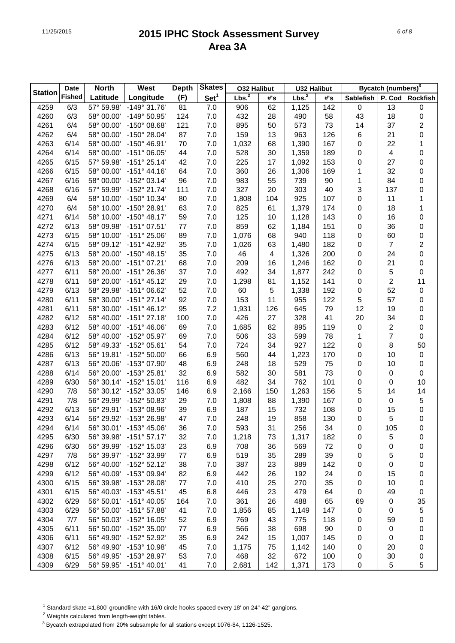|                | Date          | <b>North</b> | West                  | <b>Depth</b> | <b>Skates</b>    | <b>032 Halibut</b> |     | <b>U32 Halibut</b> |     |                  | Bycatch (numbers) <sup>3</sup> |                         |
|----------------|---------------|--------------|-----------------------|--------------|------------------|--------------------|-----|--------------------|-----|------------------|--------------------------------|-------------------------|
| <b>Station</b> | <b>Fished</b> | Latitude     | Longitude             | (F)          | Set <sup>1</sup> | Lbs. <sup>2</sup>  | #'s | Lbs. <sup>2</sup>  | #'s | <b>Sablefish</b> | P. Cod                         | <b>Rockfish</b>         |
| 4259           | 6/3           | 57° 59.98'   | $-149°31.76'$         | 81           | 7.0              | 906                | 62  | 1,125              | 142 | $\pmb{0}$        | 13                             | 0                       |
| 4260           | 6/3           | 58° 00.00'   | -149° 50.95'          | 124          | 7.0              | 432                | 28  | 490                | 58  | 43               | 18                             | $\boldsymbol{0}$        |
| 4261           | 6/4           | 58° 00.00'   | -150° 08.68'          | 121          | 7.0              | 895                | 50  | 573                | 73  | 14               | 37                             | $\overline{\mathbf{c}}$ |
| 4262           | 6/4           | 58° 00.00'   | -150° 28.04'          | 87           | 7.0              | 159                | 13  | 963                | 126 | 6                | 21                             | $\pmb{0}$               |
| 4263           | 6/14          | 58° 00.00'   | -150° 46.91'          | 70           | 7.0              | 1,032              | 68  | 1,390              | 167 | 0                | 22                             | 1                       |
| 4264           | 6/14          | 58° 00.00'   | $-151^{\circ}$ 06.05' | 44           | 7.0              | 528                | 30  | 1,359              | 189 | 0                | 4                              | $\pmb{0}$               |
| 4265           | 6/15          | 57° 59.98'   | $-151^{\circ} 25.14'$ | 42           | 7.0              | 225                | 17  | 1,092              | 153 | 0                | 27                             | $\pmb{0}$               |
| 4266           | 6/15          | 58° 00.00'   | $-151^{\circ}$ 44.16' | 64           | 7.0              | 360                | 26  | 1,306              | 169 | 1                | 32                             | $\pmb{0}$               |
| 4267           | 6/16          | 58° 00.00'   | -152° 03.14'          | 96           | 7.0              | 983                | 55  | 739                | 90  | 1                | 84                             | $\pmb{0}$               |
| 4268           | 6/16          | 57° 59.99'   | $-152^{\circ}$ 21.74' | 111          | 7.0              | 327                | 20  | 303                | 40  | 3                | 137                            | $\pmb{0}$               |
| 4269           | 6/4           | 58° 10.00'   | -150° 10.34'          | 80           | 7.0              | 1,808              | 104 | 925                | 107 | 0                | 11                             | 1                       |
| 4270           | 6/4           | 58° 10.00'   | -150° 28.91'          | 63           | 7.0              | 825                | 61  | 1,379              | 174 | 0                | 18                             | 1                       |
| 4271           | 6/14          | 58° 10.00'   | $-150^{\circ}$ 48.17' | 59           | 7.0              | 125                | 10  | 1,128              | 143 | 0                | 16                             | $\pmb{0}$               |
| 4272           | 6/13          | 58° 09.98'   | $-151°07.51'$         | 77           | 7.0              | 859                | 62  | 1,184              | 151 | 0                | 36                             | $\pmb{0}$               |
| 4273           | 6/15          | 58° 10.00'   | $-151^{\circ} 25.06'$ | 89           | 7.0              | 1,076              | 68  | 940                | 118 | 0                | 60                             | 0                       |
| 4274           | 6/15          | 58° 09.12'   | -151° 42.92'          | 35           | 7.0              | 1,026              | 63  | 1,480              | 182 | 0                | 7                              | $\overline{\mathbf{c}}$ |
| 4275           | 6/13          | 58° 20.00'   | $-150^{\circ}$ 48.15' | 35           | 7.0              | 46                 | 4   | 1,326              | 200 | 0                | 24                             | 0                       |
| 4276           | 6/13          | 58° 20.00'   | $-151^{\circ}$ 07.21' | 68           | 7.0              | 209                | 16  | 1,246              | 162 | 0                | 21                             | 0                       |
| 4277           | 6/11          | 58° 20.00'   | -151° 26.36'          | 37           | 7.0              | 492                | 34  | 1,877              | 242 | 0                | 5                              | 0                       |
| 4278           | 6/11          | 58° 20.00'   | $-151^{\circ}$ 45.12' | 29           | 7.0              | 1,298              | 81  | 1,152              | 141 | 0                | 2                              | 11                      |
| 4279           | 6/13          | 58° 29.98'   | -151° 06.62'          | 52           | 7.0              | 60                 | 5   | 1,338              | 192 | $\boldsymbol{0}$ | 52                             | $\boldsymbol{0}$        |
| 4280           | 6/11          | 58° 30.00'   | $-151^{\circ}$ 27.14' | 92           | 7.0              | 153                | 11  | 955                | 122 | 5                | 57                             | $\boldsymbol{0}$        |
| 4281           | 6/11          | 58° 30.00'   | $-151^{\circ}$ 46.12' | 95           | 7.2              | 1,931              | 126 | 645                | 79  | 12               | 19                             | $\pmb{0}$               |
| 4282           | 6/12          | 58° 40.00'   | $-151^{\circ}$ 27.18' | 100          | 7.0              | 426                | 27  | 328                | 41  | 20               | 34                             | $\pmb{0}$               |
| 4283           | 6/12          | 58° 40.00'   | $-151^{\circ}$ 46.06' | 69           | 7.0              | 1,685              | 82  | 895                | 119 | $\boldsymbol{0}$ | 2                              | 0                       |
| 4284           | 6/12          | 58° 40.00'   | -152° 05.97'          | 69           | 7.0              | 506                | 33  | 599                | 78  | 1                | 7                              | 0                       |
| 4285           | 6/12          | 58° 49.33'   | -152° 05.61'          | 54           | 7.0              | 724                | 34  | 927                | 122 | 0                | 8                              | 50                      |
| 4286           | 6/13          | 56° 19.81'   | -152° 50.00'          | 66           | 6.9              | 560                | 44  | 1,223              | 170 | 0                | 10                             | $\pmb{0}$               |
| 4287           | 6/13          | 56° 20.06'   | -153° 07.90'          | 48           | 6.9              | 248                | 18  | 529                | 75  | 0                | 10                             | $\pmb{0}$               |
| 4288           | 6/14          | 56° 20.00'   | -153° 25.81'          | 32           | 6.9              | 582                | 30  | 581                | 73  | 0                | 0                              | $\pmb{0}$               |
| 4289           | 6/30          | 56° 30.14'   | -152° 15.01'          | 116          | 6.9              | 482                | 34  | 762                | 101 | 0                | $\mathbf 0$                    | 10                      |
| 4290           | 7/8           | 56° 30.12'   | -152° 33.05'          | 146          | 6.9              | 2,166              | 150 | 1,263              | 156 | 5                | 14                             | 14                      |
| 4291           | 7/8           | 56° 29.99'   | -152° 50.83'          | 29           | 7.0              | 1,808              | 88  | 1,390              | 167 | 0                | 0                              | 5                       |
| 4292           | 6/13          | 56° 29.91'   | -153° 08.96'          | 39           | 6.9              | 187                | 15  | 732                | 108 | 0                | 15                             | 0                       |
| 4293           | 6/14          | 56° 29.92'   | -153° 26.98'          | 47           | 7.0              | 248                | 19  | 858                | 130 | $\boldsymbol{0}$ | 5                              | $\mathbf 0$             |
| 4294           | 6/14          | 56° 30.01'   | $-153^{\circ}$ 45.06' | 36           | 7.0              | 593                | 31  | 256                | 34  | 0                | 105                            | 0                       |
| 4295           | 6/30          | 56° 39.98'   | $-151^{\circ}57.17'$  | 32           | 7.0              | 1,218              | 73  | 1,317              | 182 | 0                | 5                              | 0                       |
| 4296           | 6/30          | 56° 39.99'   | -152° 15.03'          | 23           | 6.9              | 708                | 36  | 569                | 72  | 0                | 0                              | 0                       |
| 4297           | 7/8           | 56° 39.97'   | -152° 33.99'          | 77           | 6.9              | 519                | 35  | 289                | 39  | 0                | 5                              | 0                       |
| 4298           | 6/12          | 56° 40.00'   | $-152^{\circ}52.12'$  | 38           | 7.0              | 387                | 23  | 889                | 142 | 0                | 0                              | 0                       |
| 4299           | 6/12          | 56° 40.09'   | -153° 09.94'          | 82           | 6.9              | 442                | 26  | 192                | 24  | 0                | 15                             | 0                       |
| 4300           | 6/15          | 56° 39.98'   | -153° 28.08'          | 77           | 7.0              | 410                | 25  | 270                | 35  | 0                | 10                             | 0                       |
| 4301           | 6/15          | 56° 40.03'   | $-153^{\circ}$ 45.51' | 45           | 6.8              | 446                | 23  | 479                | 64  | 0                | 49                             | 0                       |
| 4302           | 6/29          | 56° 50.01'   | -151° 40.05'          | 164          | 7.0              | 361                | 26  | 488                | 65  | 69               | 0                              | 35                      |
| 4303           | 6/29          | 56° 50.00'   | $-151^{\circ}57.88'$  | 41           | 7.0              | 1,856              | 85  | 1,149              | 147 | 0                | 0                              | 5                       |
| 4304           | 7/7           | 56° 50.03'   | -152° 16.05'          | 52           | 6.9              | 769                | 43  | 775                | 118 | 0                | 59                             | $\pmb{0}$               |
| 4305           | 6/11          | 56° 50.00'   | -152° 35.00'          | 77           | 6.9              | 566                | 38  | 698                | 90  | 0                | 0                              | 0                       |
| 4306           | 6/11          | 56° 49.90'   | -152° 52.92'          | 35           | 6.9              | 242                | 15  | 1,007              | 145 | 0                | 0                              | 0                       |
| 4307           | 6/12          | 56° 49.90'   | -153° 10.98'          | 45           | 7.0              | 1,175              | 75  | 1,142              | 140 | 0                | 20                             | 0                       |
| 4308           | 6/15          | 56° 49.95'   | -153° 28.97'          | 53           | 7.0              | 468                | 32  | 672                | 100 | 0                | 30                             | 0                       |
| 4309           | 6/29          | 56° 59.95'   | $-151^{\circ}$ 40.01' | 41           | 7.0              | 2,681              | 142 | 1,371              | 173 | 0                | 5                              | 5                       |

<sup>1</sup> Standard skate =1,800' groundline with 16/0 circle hooks spaced every 18' on 24"-42" gangions.

2 Weights calculated from length-weight tables.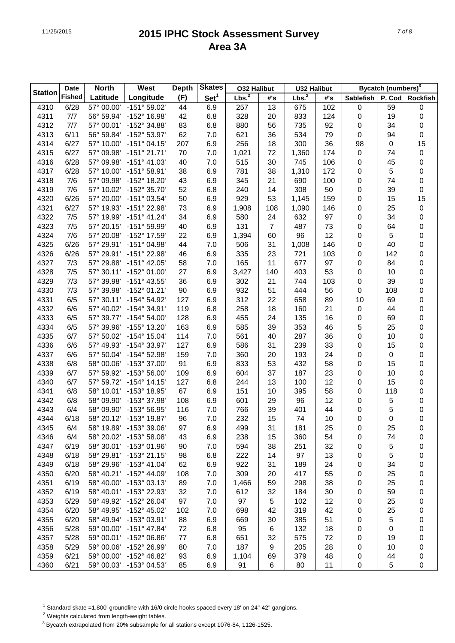|                | <b>Date</b>   | <b>North</b> | West                  | <b>Depth</b> | <b>Skates</b>    | <b>032 Halibut</b> |     | <b>U32 Halibut</b> |     | Bycatch (numbers) <sup>3</sup> |        |                  |
|----------------|---------------|--------------|-----------------------|--------------|------------------|--------------------|-----|--------------------|-----|--------------------------------|--------|------------------|
| <b>Station</b> | <b>Fished</b> | Latitude     | Longitude             | (F)          | Set <sup>1</sup> | Lbs. <sup>2</sup>  | #'s | Lbs. <sup>2</sup>  | #'s | <b>Sablefish</b>               | P. Cod | <b>Rockfish</b>  |
| 4310           | 6/28          | 57° 00.00'   | -151° 59.02'          | 44           | 6.9              | 257                | 13  | 675                | 102 | $\pmb{0}$                      | 59     | $\boldsymbol{0}$ |
| 4311           | 7/7           | 56° 59.94'   | -152° 16.98'          | 42           | 6.8              | 328                | 20  | 833                | 124 | $\pmb{0}$                      | 19     | 0                |
| 4312           | 7/7           | 57° 00.01'   | -152° 34.88'          | 83           | 6.8              | 880                | 56  | 735                | 92  | 0                              | 34     | 0                |
| 4313           | 6/11          | 56° 59.84'   | -152° 53.97'          | 62           | 7.0              | 621                | 36  | 534                | 79  | 0                              | 94     | 0                |
| 4314           | 6/27          | 57° 10.00'   | $-151^{\circ}$ 04.15' | 207          | 6.9              | 256                | 18  | 300                | 36  | 98                             | 0      | 15               |
| 4315           | 6/27          | 57° 09.98'   | $-151^{\circ} 21.71'$ | 70           | 7.0              | 1,021              | 72  | 1,360              | 174 | $\pmb{0}$                      | 74     | $\pmb{0}$        |
| 4316           | 6/28          | 57° 09.98'   | $-151^{\circ}$ 41.03' | 40           | 7.0              | 515                | 30  | 745                | 106 | $\pmb{0}$                      | 45     | 0                |
| 4317           | 6/28          | 57° 10.00'   | $-151^{\circ}58.91'$  | 38           | 6.9              | 781                | 38  | 1,310              | 172 | 0                              | 5      | 0                |
| 4318           | 7/6           | 57° 09.98'   | -152° 18.20'          | 43           | 6.9              | 345                | 21  | 690                | 100 | 0                              | 74     | 0                |
| 4319           | 7/6           | 57° 10.02'   | -152° 35.70'          | 52           | 6.8              | 240                | 14  | 308                | 50  | 0                              | 39     | 0                |
| 4320           | 6/26          | 57° 20.00'   | -151° 03.54'          | 50           | 6.9              | 929                | 53  | 1,145              | 159 | 0                              | 15     | 15               |
| 4321           | 6/27          | 57° 19.93'   | -151° 22.98'          | 73           | 6.9              | 1,908              | 108 | 1,090              | 146 | 0                              | 25     | $\pmb{0}$        |
| 4322           | 7/5           | 57° 19.99'   | $-151^{\circ}$ 41.24' | 34           | 6.9              | 580                | 24  | 632                | 97  | 0                              | 34     | 0                |
| 4323           | 7/5           | 57° 20.15'   | -151° 59.99'          | 40           | 6.9              | 131                | 7   | 487                | 73  | 0                              | 64     | 0                |
| 4324           | 7/6           | 57° 20.08'   | -152° 17.59'          | 22           | 6.9              | 1,394              | 60  | 96                 | 12  | $\pmb{0}$                      | 5      | 0                |
| 4325           | 6/26          | 57° 29.91'   | -151° 04.98'          | 44           | 7.0              | 506                | 31  | 1,008              | 146 | 0                              | 40     | 0                |
| 4326           | 6/26          | 57° 29.91'   | -151° 22.98'          | 46           | 6.9              | 335                | 23  | 721                | 103 | $\pmb{0}$                      | 142    | 0                |
| 4327           | 7/3           | 57° 29.88'   | $-151^{\circ}$ 42.05' | 58           | 7.0              | 165                | 11  | 677                | 97  | $\pmb{0}$                      | 84     | 0                |
| 4328           | 7/5           | 57° 30.11'   | -152° 01.00'          | 27           | 6.9              | 3,427              | 140 | 403                | 53  | $\pmb{0}$                      | 10     | 0                |
| 4329           | 7/3           | 57° 39.98'   | -151° 43.55'          | 36           | 6.9              | 302                | 21  | 744                | 103 | $\pmb{0}$                      | 39     | 0                |
| 4330           | 7/3           | 57° 39.98'   | -152° 01.21'          | 90           | 6.9              | 932                | 51  | 444                | 56  | 0                              | 108    | 0                |
| 4331           | 6/5           | 57° 30.11'   | -154° 54.92'          | 127          | 6.9              | 312                | 22  | 658                | 89  | 10                             | 69     | 0                |
| 4332           | 6/6           | 57° 40.02'   | -154° 34.91'          | 119          | 6.8              | 258                | 18  | 160                | 21  | $\pmb{0}$                      | 44     | 0                |
| 4333           | 6/5           | 57° 39.77'   | -154° 54.00'          | 128          | 6.9              | 455                | 24  | 135                | 16  | 0                              | 69     | 0                |
| 4334           | 6/5           | 57° 39.96'   | -155° 13.20'          | 163          | 6.9              | 585                | 39  | 353                | 46  | 5                              | 25     | 0                |
| 4335           | 6/7           | 57° 50.02'   | -154° 15.04'          | 114          | 7.0              | 561                | 40  | 287                | 36  | 0                              | 10     | 0                |
| 4336           | 6/6           | 57° 49.93'   | -154° 33.97'          | 127          | 6.9              | 586                | 31  | 239                | 33  | 0                              | 15     | 0                |
| 4337           | 6/6           | 57° 50.04'   | -154° 52.98'          | 159          | 7.0              | 360                | 20  | 193                | 24  | 0                              | 0      | 0                |
| 4338           | 6/8           | 58° 00.06'   | -153° 37.00'          | 91           | 6.9              | 833                | 53  | 432                | 58  | 0                              | 15     | 0                |
| 4339           | 6/7           | 57° 59.92'   | $-153^{\circ} 56.00'$ | 109          | 6.9              | 604                | 37  | 187                | 23  | 0                              | 10     | 0                |
| 4340           | 6/7           | 57° 59.72'   | $-154^{\circ}$ 14.15' | 127          | 6.8              | 244                | 13  | 100                | 12  | 0                              | 15     | 0                |
| 4341           | 6/8           | 58° 10.01'   | -153° 18.95'          | 67           | 6.9              | 151                | 10  | 395                | 58  | 0                              | 118    | 0                |
| 4342           | 6/8           | 58° 09.90'   | -153° 37.98'          | 108          | 6.9              | 601                | 29  | 96                 | 12  | $\pmb{0}$                      | 5      | 0                |
| 4343           | 6/4           | 58° 09.90'   | -153° 56.95'          | 116          | 7.0              | 766                | 39  | 401                | 44  | 0                              | 5      | 0                |
| 4344           | 6/18          | 58° 20.12'   | -153° 19.87'          | 96           | 7.0              | 232                | 15  | 74                 | 10  | 0                              | 0      | $\mathsf 0$      |
| 4345           | 6/4           | 58° 19.89'   | -153° 39.06'          | 97           | 6.9              | 499                | 31  | 181                | 25  | 0                              | 25     | 0                |
| 4346           | 6/4           | 58° 20.02'   | -153° 58.08'          | 43           | 6.9              | 238                | 15  | 360                | 54  | 0                              | 74     | 0                |
| 4347           | 6/19          | 58° 30.01'   | -153° 01.96'          | 90           | 7.0              | 594                | 38  | 251                | 32  | 0                              | 5      | 0                |
| 4348           | 6/18          | 58° 29.81'   | $-153^{\circ}$ 21.15' | 98           | 6.8              | 222                | 14  | 97                 | 13  | 0                              | 5      | 0                |
| 4349           | 6/18          | 58° 29.96'   | $-153^{\circ}$ 41.04' | 62           | 6.9              | 922                | 31  | 189                | 24  | 0                              | 34     | 0                |
| 4350           | 6/20          | 58° 40.21'   | -152° 44.09'          | 108          | 7.0              | 309                | 20  | 417                | 55  | 0                              | 25     | 0                |
| 4351           | 6/19          | 58° 40.00'   | -153° 03.13'          | 89           | 7.0              | 1,466              | 59  | 298                | 38  | 0                              | 25     | 0                |
| 4352           | 6/19          | 58° 40.01'   | -153° 22.93'          | 32           | 7.0              | 612                | 32  | 184                | 30  | 0                              | 59     | 0                |
| 4353           | 5/29          | 58° 49.92'   | -152° 26.04'          | 97           | 7.0              | 97                 | 5   | 102                | 12  | 0                              | 25     | 0                |
| 4354           | 6/20          | 58° 49.95'   | -152° 45.02'          | 102          | 7.0              | 698                | 42  | 319                | 42  | 0                              | 25     | 0                |
| 4355           | 6/20          | 58° 49.94'   | -153° 03.91'          | 88           |                  | 669                |     | 385                | 51  |                                | 5      |                  |
| 4356           | 5/28          | 59° 00.00'   | $-151^{\circ}$ 47.84' | 72           | 6.9<br>6.8       | 95                 | 30  | 132                | 18  | 0                              |        | 0                |
|                | 5/28          |              |                       |              |                  |                    | 6   |                    | 72  | 0                              | 0      | 0                |
| 4357           |               | 59° 00.01'   | -152° 06.86'          | 77           | 6.8              | 651                | 32  | 575                |     | 0                              | 19     | 0                |
| 4358           | 5/29          | 59° 00.06'   | -152° 26.99'          | 80           | 7.0              | 187                | 9   | 205                | 28  | 0                              | 10     | 0                |
| 4359           | 6/21          | 59° 00.00'   | -152° 46.82'          | 93           | 6.9              | 1,104              | 69  | 379                | 48  | 0                              | 44     | 0                |
| 4360           | 6/21          | 59° 00.03'   | -153° 04.53'          | 85           | 6.9              | 91                 | 6   | 80                 | 11  | 0                              | 5      | 0                |

<sup>1</sup> Standard skate =1,800' groundline with 16/0 circle hooks spaced every 18' on 24"-42" gangions.

2 Weights calculated from length-weight tables.